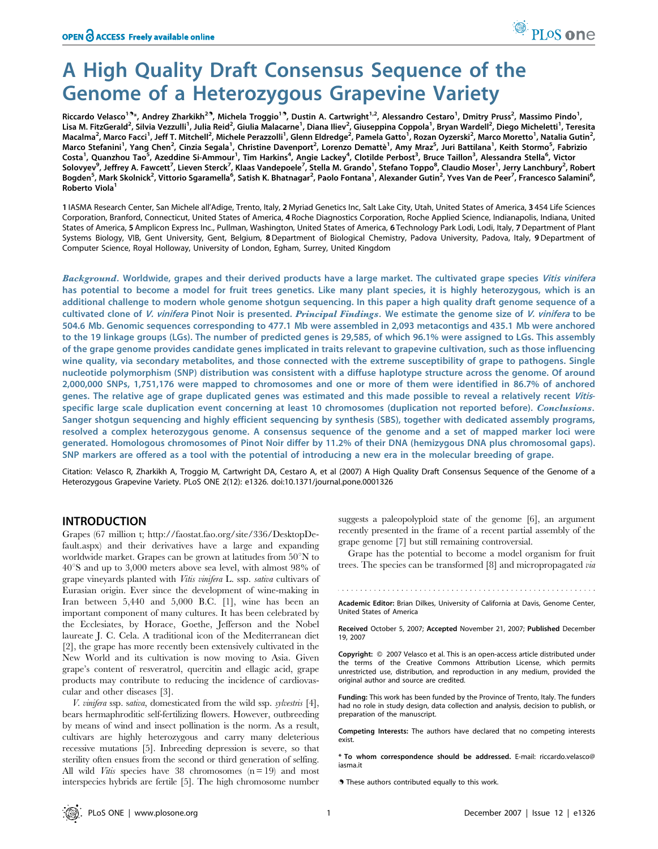# A High Quality Draft Consensus Sequence of the Genome of a Heterozygous Grapevine Variety

Riccardo Velasco<sup>19</sup>\*, Andrey Zharkikh<sup>29</sup>, Michela Troggio<sup>19</sup>, Dustin A. Cartwright<sup>1,2</sup>, Alessandro Cestaro<sup>1</sup>, Dmitry Pruss<sup>2</sup>, Massimo Pindo<sup>1</sup>, Lisa M. FitzGerald<sup>2</sup>, Silvia Vezzulli<sup>1</sup>, Julia Reid<sup>2</sup>, Giulia Malacarne<sup>1</sup>, Diana Iliev<sup>2</sup>, Giuseppina Coppola<sup>1</sup>, Bryan Wardell<sup>2</sup>, Diego Micheletti<sup>1</sup>, Teresita Macalma<sup>2</sup>, Marco Facci<sup>1</sup>, Jeff T. Mitchell<sup>2</sup>, Michele Perazzolli<sup>1</sup>, Glenn Eldredge<sup>2</sup>, Pamela Gatto<sup>1</sup>, Rozan Oyzerski<sup>2</sup>, Marco Moretto<sup>1</sup>, Natalia Gutin<sup>2</sup>, Marco Stefanini<sup>1</sup>, Yang Chen<sup>2</sup>, Cinzia Segala<sup>1</sup>, Christine Davenport<sup>2</sup>, Lorenzo Demattè<sup>1</sup>, Amy Mraz<sup>5</sup>, Juri Battilana<sup>1</sup>, Keith Stormo<sup>5</sup>, Fabrizio Costa<sup>1</sup>, Quanzhou Tao<sup>5</sup>, Azeddine Si-Ammour<sup>1</sup>, Tim Harkins<sup>4</sup>, Angie Lackey<sup>4</sup>, Clotilde Perbost<sup>3</sup>, Bruce Taillon<sup>3</sup>, Alessandra Stella<sup>6</sup>, Victor Solovyev<sup>9</sup>, Jeffrey A. Fawcett<sup>7</sup>, Lieven Sterck<sup>7</sup>, Klaas Vandepoele<sup>7</sup>, Stella M. Grando<sup>1</sup>, Stefano Toppo<sup>8</sup>, Claudio Moser<sup>1</sup>, Jerry Lanchbury<sup>2</sup>, Robert Bogden<sup>5</sup>, Mark Skolnick<sup>2</sup>, Vittorio Sgaramella<sup>6</sup>, Satish K. Bhatnagar<sup>2</sup>, Paolo Fontana<sup>1</sup>, Alexander Gutin<sup>2</sup>, Yves Van de Peer<sup>7</sup>, Francesco Salamini<sup>6</sup>, Roberto Viola<sup>1</sup>

1 IASMA Research Center, San Michele all'Adige, Trento, Italy, 2 Myriad Genetics Inc, Salt Lake City, Utah, United States of America, 3 454 Life Sciences Corporation, Branford, Connecticut, United States of America, 4 Roche Diagnostics Corporation, Roche Applied Science, Indianapolis, Indiana, United States of America, 5 Amplicon Express Inc., Pullman, Washington, United States of America, 6 Technology Park Lodi, Lodi, Italy, 7Department of Plant Systems Biology, VIB, Gent University, Gent, Belgium, 8Department of Biological Chemistry, Padova University, Padova, Italy, 9Department of Computer Science, Royal Holloway, University of London, Egham, Surrey, United Kingdom

Background. Worldwide, grapes and their derived products have a large market. The cultivated grape species Vitis vinifera has potential to become a model for fruit trees genetics. Like many plant species, it is highly heterozygous, which is an additional challenge to modern whole genome shotgun sequencing. In this paper a high quality draft genome sequence of a cultivated clone of *V. vinifera* Pinot Noir is presented. *Principal Findings*. We estimate the genome size of *V. vinifera* to be 504.6 Mb. Genomic sequences corresponding to 477.1 Mb were assembled in 2,093 metacontigs and 435.1 Mb were anchored to the 19 linkage groups (LGs). The number of predicted genes is 29,585, of which 96.1% were assigned to LGs. This assembly of the grape genome provides candidate genes implicated in traits relevant to grapevine cultivation, such as those influencing wine quality, via secondary metabolites, and those connected with the extreme susceptibility of grape to pathogens. Single nucleotide polymorphism (SNP) distribution was consistent with a diffuse haplotype structure across the genome. Of around 2,000,000 SNPs, 1,751,176 were mapped to chromosomes and one or more of them were identified in 86.7% of anchored genes. The relative age of grape duplicated genes was estimated and this made possible to reveal a relatively recent Vitisspecific large scale duplication event concerning at least 10 chromosomes (duplication not reported before). Conclusions. Sanger shotgun sequencing and highly efficient sequencing by synthesis (SBS), together with dedicated assembly programs, resolved a complex heterozygous genome. A consensus sequence of the genome and a set of mapped marker loci were generated. Homologous chromosomes of Pinot Noir differ by 11.2% of their DNA (hemizygous DNA plus chromosomal gaps). SNP markers are offered as a tool with the potential of introducing a new era in the molecular breeding of grape.

Citation: Velasco R, Zharkikh A, Troggio M, Cartwright DA, Cestaro A, et al (2007) A High Quality Draft Consensus Sequence of the Genome of a Heterozygous Grapevine Variety. PLoS ONE 2(12): e1326. doi:10.1371/journal.pone.0001326

# INTRODUCTION

Grapes (67 million t; http://faostat.fao.org/site/336/DesktopDefault.aspx) and their derivatives have a large and expanding worldwide market. Grapes can be grown at latitudes from  $50^{\circ}$ N to  $40^{\circ}$ S and up to 3,000 meters above sea level, with almost 98% of grape vineyards planted with Vitis vinifera L. ssp. sativa cultivars of Eurasian origin. Ever since the development of wine-making in Iran between 5,440 and 5,000 B.C. [1], wine has been an important component of many cultures. It has been celebrated by the Ecclesiates, by Horace, Goethe, Jefferson and the Nobel laureate J. C. Cela. A traditional icon of the Mediterranean diet [2], the grape has more recently been extensively cultivated in the New World and its cultivation is now moving to Asia. Given grape's content of resveratrol, quercitin and ellagic acid, grape products may contribute to reducing the incidence of cardiovascular and other diseases [3].

V. vinifera ssp. sativa, domesticated from the wild ssp. sylvestris [4], bears hermaphroditic self-fertilizing flowers. However, outbreeding by means of wind and insect pollination is the norm. As a result, cultivars are highly heterozygous and carry many deleterious recessive mutations [5]. Inbreeding depression is severe, so that sterility often ensues from the second or third generation of selfing. All wild *Vitis* species have 38 chromosomes  $(n = 19)$  and most interspecies hybrids are fertile [5]. The high chromosome number

suggests a paleopolyploid state of the genome [6], an argument recently presented in the frame of a recent partial assembly of the grape genome [7] but still remaining controversial.

Grape has the potential to become a model organism for fruit trees. The species can be transformed [8] and micropropagated via

Academic Editor: Brian Dilkes, University of California at Davis, Genome Center, United States of America

Received October 5, 2007; Accepted November 21, 2007; Published December 19, 2007

Copyright: © 2007 Velasco et al. This is an open-access article distributed under the terms of the Creative Commons Attribution License, which permits unrestricted use, distribution, and reproduction in any medium, provided the original author and source are credited.

Funding: This work has been funded by the Province of Trento, Italy. The funders had no role in study design, data collection and analysis, decision to publish, or preparation of the manuscript.

Competing Interests: The authors have declared that no competing interests exist.

\* To whom correspondence should be addressed. E-mail: riccardo.velasco@ iasma.it

. These authors contributed equally to this work.

 $PIOS$  one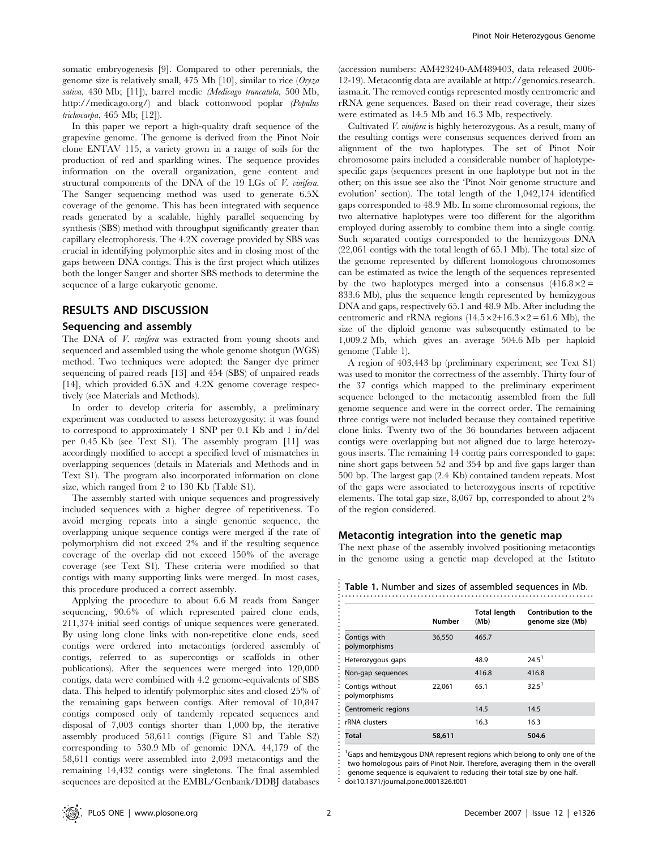somatic embryogenesis [9]. Compared to other perennials, the genome size is relatively small, 475 Mb [10], similar to rice  $(0<sub>ryza</sub>)$ sativa, 430 Mb; [11]), barrel medic (Medicago truncatula, 500 Mb, http://medicago.org/) and black cottonwood poplar (Populus trichocarpa, 465 Mb; [12]).

In this paper we report a high-quality draft sequence of the grapevine genome. The genome is derived from the Pinot Noir clone ENTAV 115, a variety grown in a range of soils for the production of red and sparkling wines. The sequence provides information on the overall organization, gene content and structural components of the DNA of the 19 LGs of V. vinifera. The Sanger sequencing method was used to generate 6.5X coverage of the genome. This has been integrated with sequence reads generated by a scalable, highly parallel sequencing by synthesis (SBS) method with throughput significantly greater than capillary electrophoresis. The 4.2X coverage provided by SBS was crucial in identifying polymorphic sites and in closing most of the gaps between DNA contigs. This is the first project which utilizes both the longer Sanger and shorter SBS methods to determine the sequence of a large eukaryotic genome.

# RESULTS AND DISCUSSION

# Sequencing and assembly

The DNA of *V. vinifera* was extracted from young shoots and sequenced and assembled using the whole genome shotgun (WGS) method. Two techniques were adopted: the Sanger dye primer sequencing of paired reads [13] and 454 (SBS) of unpaired reads [14], which provided 6.5X and 4.2X genome coverage respectively (see Materials and Methods).

In order to develop criteria for assembly, a preliminary experiment was conducted to assess heterozygosity: it was found to correspond to approximately 1 SNP per 0.1 Kb and 1 in/del per 0.45 Kb (see Text S1). The assembly program [11] was accordingly modified to accept a specified level of mismatches in overlapping sequences (details in Materials and Methods and in Text S1). The program also incorporated information on clone size, which ranged from 2 to 130 Kb (Table S1).

The assembly started with unique sequences and progressively included sequences with a higher degree of repetitiveness. To avoid merging repeats into a single genomic sequence, the overlapping unique sequence contigs were merged if the rate of polymorphism did not exceed 2% and if the resulting sequence coverage of the overlap did not exceed 150% of the average coverage (see Text S1). These criteria were modified so that contigs with many supporting links were merged. In most cases, this procedure produced a correct assembly.

Applying the procedure to about 6.6 M reads from Sanger sequencing, 90.6% of which represented paired clone ends, 211,374 initial seed contigs of unique sequences were generated. By using long clone links with non-repetitive clone ends, seed contigs were ordered into metacontigs (ordered assembly of contigs, referred to as supercontigs or scaffolds in other publications). After the sequences were merged into 120,000 contigs, data were combined with 4.2 genome-equivalents of SBS data. This helped to identify polymorphic sites and closed 25% of the remaining gaps between contigs. After removal of 10,847 contigs composed only of tandemly repeated sequences and disposal of 7,003 contigs shorter than 1,000 bp, the iterative assembly produced 58,611 contigs (Figure S1 and Table S2) corresponding to 530.9 Mb of genomic DNA. 44,179 of the 58,611 contigs were assembled into 2,093 metacontigs and the remaining 14,432 contigs were singletons. The final assembled sequences are deposited at the EMBL/Genbank/DDBJ databases

(accession numbers: AM423240-AM489403, data released 2006- 12-19). Metacontig data are available at http://genomics.research. iasma.it. The removed contigs represented mostly centromeric and rRNA gene sequences. Based on their read coverage, their sizes were estimated as 14.5 Mb and 16.3 Mb, respectively.

Cultivated V. vinifera is highly heterozygous. As a result, many of the resulting contigs were consensus sequences derived from an alignment of the two haplotypes. The set of Pinot Noir chromosome pairs included a considerable number of haplotypespecific gaps (sequences present in one haplotype but not in the other; on this issue see also the 'Pinot Noir genome structure and evolution' section). The total length of the 1,042,174 identified gaps corresponded to 48.9 Mb. In some chromosomal regions, the two alternative haplotypes were too different for the algorithm employed during assembly to combine them into a single contig. Such separated contigs corresponded to the hemizygous DNA (22,061 contigs with the total length of 65.1 Mb). The total size of the genome represented by different homologous chromosomes can be estimated as twice the length of the sequences represented by the two haplotypes merged into a consensus  $(416.8 \times 2 =$ 833.6 Mb), plus the sequence length represented by hemizygous DNA and gaps, respectively 65.1 and 48.9 Mb. After including the centromeric and rRNA regions  $(14.5 \times 2 + 16.3 \times 2 = 61.6$  Mb), the size of the diploid genome was subsequently estimated to be 1,009.2 Mb, which gives an average 504.6 Mb per haploid genome (Table 1).

A region of 403,443 bp (preliminary experiment; see Text S1) was used to monitor the correctness of the assembly. Thirty four of the 37 contigs which mapped to the preliminary experiment sequence belonged to the metacontig assembled from the full genome sequence and were in the correct order. The remaining three contigs were not included because they contained repetitive clone links. Twenty two of the 36 boundaries between adjacent contigs were overlapping but not aligned due to large heterozygous inserts. The remaining 14 contig pairs corresponded to gaps: nine short gaps between 52 and 354 bp and five gaps larger than 500 bp. The largest gap (2.4 Kb) contained tandem repeats. Most of the gaps were associated to heterozygous inserts of repetitive elements. The total gap size, 8,067 bp, corresponded to about 2% of the region considered.

# Metacontig integration into the genetic map

The next phase of the assembly involved positioning metacontigs in the genome using a genetic map developed at the Istituto

Table 1. Number and sizes of assembled sequences in Mb. .........................................................

|                                  | <b>Number</b> | <b>Total length</b><br>(Mb) | Contribution to the<br>genome size (Mb) |  |  |
|----------------------------------|---------------|-----------------------------|-----------------------------------------|--|--|
| Contigs with<br>polymorphisms    | 36,550        | 465.7                       |                                         |  |  |
| Heterozygous gaps                |               | 48.9                        | 24.5 <sup>1</sup>                       |  |  |
| Non-gap sequences                |               | 416.8                       | 416.8                                   |  |  |
| Contigs without<br>polymorphisms | 22.061        | 65.1                        | 32.5 <sup>1</sup>                       |  |  |
| Centromeric regions              |               | 14.5                        | 14.5                                    |  |  |
| rRNA clusters                    |               | 16.3                        | 16.3                                    |  |  |
| Total                            | 58,611        |                             | 504.6                                   |  |  |

<sup>1</sup>Gaps and hemizygous DNA represent regions which belong to only one of the two homologous pairs of Pinot Noir. Therefore, averaging them in the overall genome sequence is equivalent to reducing their total size by one half. doi:10.1371/journal.pone.0001326.t001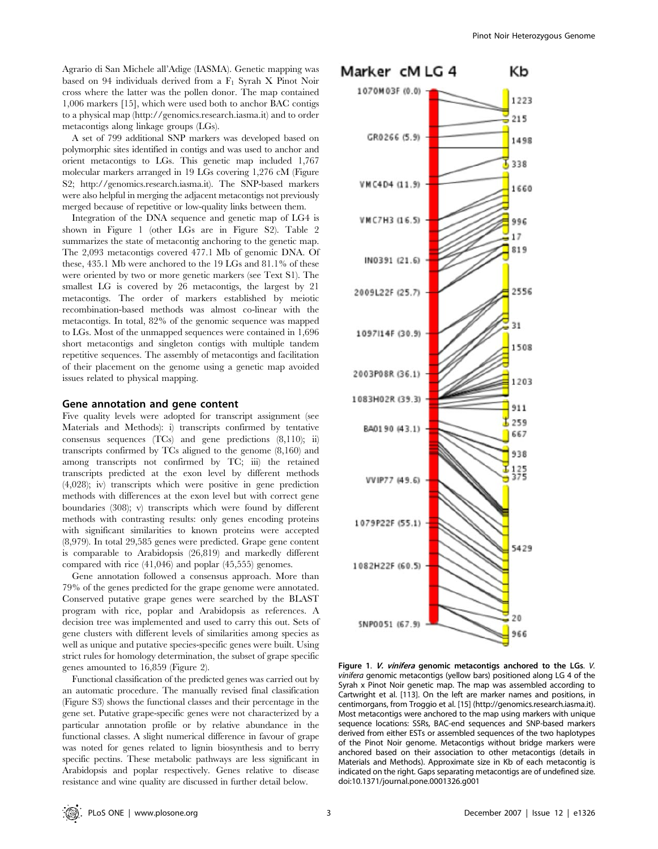Agrario di San Michele all'Adige (IASMA). Genetic mapping was based on 94 individuals derived from a  $F_1$  Syrah X Pinot Noir cross where the latter was the pollen donor. The map contained 1,006 markers [15], which were used both to anchor BAC contigs to a physical map (http://genomics.research.iasma.it) and to order metacontigs along linkage groups (LGs).

A set of 799 additional SNP markers was developed based on polymorphic sites identified in contigs and was used to anchor and orient metacontigs to LGs. This genetic map included 1,767 molecular markers arranged in 19 LGs covering 1,276 cM (Figure S2; http://genomics.research.iasma.it). The SNP-based markers were also helpful in merging the adjacent metacontigs not previously merged because of repetitive or low-quality links between them.

Integration of the DNA sequence and genetic map of LG4 is shown in Figure 1 (other LGs are in Figure S2). Table 2 summarizes the state of metacontig anchoring to the genetic map. The 2,093 metacontigs covered 477.1 Mb of genomic DNA. Of these, 435.1 Mb were anchored to the 19 LGs and 81.1% of these were oriented by two or more genetic markers (see Text S1). The smallest LG is covered by 26 metacontigs, the largest by 21 metacontigs. The order of markers established by meiotic recombination-based methods was almost co-linear with the metacontigs. In total, 82% of the genomic sequence was mapped to LGs. Most of the unmapped sequences were contained in 1,696 short metacontigs and singleton contigs with multiple tandem repetitive sequences. The assembly of metacontigs and facilitation of their placement on the genome using a genetic map avoided issues related to physical mapping.

#### Gene annotation and gene content

Five quality levels were adopted for transcript assignment (see Materials and Methods): i) transcripts confirmed by tentative consensus sequences (TCs) and gene predictions (8,110); ii) transcripts confirmed by TCs aligned to the genome (8,160) and among transcripts not confirmed by TC; iii) the retained transcripts predicted at the exon level by different methods (4,028); iv) transcripts which were positive in gene prediction methods with differences at the exon level but with correct gene boundaries (308); v) transcripts which were found by different methods with contrasting results: only genes encoding proteins with significant similarities to known proteins were accepted (8,979). In total 29,585 genes were predicted. Grape gene content is comparable to Arabidopsis (26,819) and markedly different compared with rice (41,046) and poplar (45,555) genomes.

Gene annotation followed a consensus approach. More than 79% of the genes predicted for the grape genome were annotated. Conserved putative grape genes were searched by the BLAST program with rice, poplar and Arabidopsis as references. A decision tree was implemented and used to carry this out. Sets of gene clusters with different levels of similarities among species as well as unique and putative species-specific genes were built. Using strict rules for homology determination, the subset of grape specific genes amounted to 16,859 (Figure 2).

Functional classification of the predicted genes was carried out by an automatic procedure. The manually revised final classification (Figure S3) shows the functional classes and their percentage in the gene set. Putative grape-specific genes were not characterized by a particular annotation profile or by relative abundance in the functional classes. A slight numerical difference in favour of grape was noted for genes related to lignin biosynthesis and to berry specific pectins. These metabolic pathways are less significant in Arabidopsis and poplar respectively. Genes relative to disease resistance and wine quality are discussed in further detail below.



Figure 1. *V. vinifera* genomic metacontigs anchored to the LGs. *V.* vinifera genomic metacontigs (yellow bars) positioned along LG 4 of the Syrah x Pinot Noir genetic map. The map was assembled according to Cartwright et al. [113]. On the left are marker names and positions, in centimorgans, from Troggio et al. [15] (http://genomics.research.iasma.it). Most metacontigs were anchored to the map using markers with unique sequence locations: SSRs, BAC-end sequences and SNP-based markers derived from either ESTs or assembled sequences of the two haplotypes of the Pinot Noir genome. Metacontigs without bridge markers were anchored based on their association to other metacontigs (details in Materials and Methods). Approximate size in Kb of each metacontig is indicated on the right. Gaps separating metacontigs are of undefined size. doi:10.1371/journal.pone.0001326.g001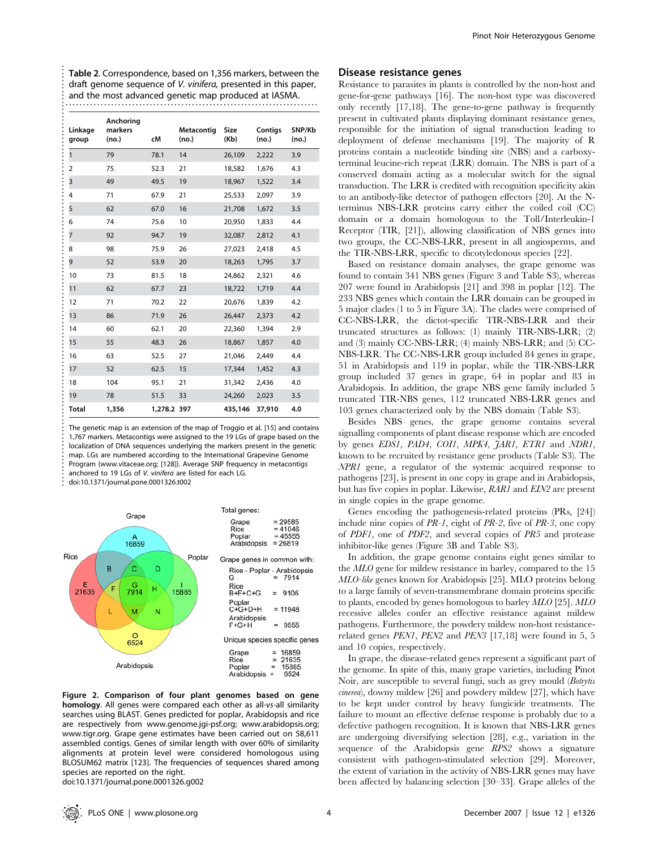| Linkage<br>group | Anchoring<br>markers<br>(no.)                                                                                                                                                                                                                                                                                                                                                                                                                                                                           | сM          | Metacontig<br>(no.) | Size<br>(Kb) | Contigs<br>(no.) | SNP/Kb<br>(no.) |
|------------------|---------------------------------------------------------------------------------------------------------------------------------------------------------------------------------------------------------------------------------------------------------------------------------------------------------------------------------------------------------------------------------------------------------------------------------------------------------------------------------------------------------|-------------|---------------------|--------------|------------------|-----------------|
| $\mathbf{1}$     | 79                                                                                                                                                                                                                                                                                                                                                                                                                                                                                                      | 78.1        | 14                  | 26,109       | 2,222            | 3.9             |
| 2                | 75                                                                                                                                                                                                                                                                                                                                                                                                                                                                                                      | 52.3        | 21                  | 18,582       | 1,676            | 4.3             |
| 3                | 49                                                                                                                                                                                                                                                                                                                                                                                                                                                                                                      | 49.5        | 19                  | 18,967       | 1,522            | 3.4             |
| 4                | 71                                                                                                                                                                                                                                                                                                                                                                                                                                                                                                      | 67.9        | 21                  | 25,533       | 2,097            | 3.9             |
| 5                | 62                                                                                                                                                                                                                                                                                                                                                                                                                                                                                                      | 67.0        | 16                  | 21,708       | 1,672            | 3.5             |
| 6                | 74                                                                                                                                                                                                                                                                                                                                                                                                                                                                                                      | 75.6        | 10                  | 20,950       | 1,833            | 4.4             |
| 7                | 92                                                                                                                                                                                                                                                                                                                                                                                                                                                                                                      | 94.7        | 19                  | 32,087       | 2,812            | 4.1             |
| 8                | 98                                                                                                                                                                                                                                                                                                                                                                                                                                                                                                      | 75.9        | 26                  | 27,023       | 2,418            | 4.5             |
| 9                | 52                                                                                                                                                                                                                                                                                                                                                                                                                                                                                                      | 53.9        | 20                  | 18,263       | 1,795            | 3.7             |
| 10               | 73                                                                                                                                                                                                                                                                                                                                                                                                                                                                                                      | 81.5        | 18                  | 24,862       | 2,321            | 4.6             |
| 11               | 62                                                                                                                                                                                                                                                                                                                                                                                                                                                                                                      | 67.7        | 23                  | 18,722       | 1,719            | 4.4             |
| 12               | 71                                                                                                                                                                                                                                                                                                                                                                                                                                                                                                      | 70.2        | 22                  | 20,676       | 1,839            | 4.2             |
| 13               | 86                                                                                                                                                                                                                                                                                                                                                                                                                                                                                                      | 71.9        | 26                  | 26,447       | 2,373            | 4.2             |
| 14               | 60                                                                                                                                                                                                                                                                                                                                                                                                                                                                                                      | 62.1        | 20                  | 22,360       | 1,394            | 2.9             |
| 15               | 55                                                                                                                                                                                                                                                                                                                                                                                                                                                                                                      | 48.3        | 26                  | 18,867       | 1,857            | 4.0             |
| 16               | 63                                                                                                                                                                                                                                                                                                                                                                                                                                                                                                      | 52.5        | 27                  | 21,046       | 2,449            | 4.4             |
| 17               | 52                                                                                                                                                                                                                                                                                                                                                                                                                                                                                                      | 62.5        | 15                  | 17,344       | 1,452            | 4.3             |
| 18               | 104                                                                                                                                                                                                                                                                                                                                                                                                                                                                                                     | 95.1        | 21                  | 31,342       | 2,436            | 4.0             |
| 19               | 78                                                                                                                                                                                                                                                                                                                                                                                                                                                                                                      | 51.5        | 33                  | 24,260       | 2,023            | 3.5             |
| <b>Total</b>     | 1,356                                                                                                                                                                                                                                                                                                                                                                                                                                                                                                   | 1,278.2 397 |                     | 435,146      | 37,910           | 4.0             |
|                  | The genetic map is an extension of the map of Troggio et al. [15] and contains<br>1,767 markers. Metacontigs were assigned to the 19 LGs of grape based on the<br>localization of DNA sequences underlying the markers present in the genetic<br>map. LGs are numbered according to the International Grapevine Genome<br>Program (www.vitaceae.org; [128]). Average SNP frequency in metacontigs<br>anchored to 19 LGs of V. vinifera are listed for each LG.<br>doi:10.1371/journal.pone.0001326.t002 |             |                     |              |                  |                 |

doi:10.1371/journal.pone.0001326.t002



Figure 2. Comparison of four plant genomes based on gene homology. All genes were compared each other as all-vs-all similarity searches using BLAST. Genes predicted for poplar, Arabidopsis and rice are respectively from www.genome.jgi-psf.org; www.arabidopsis.org; www.tigr.org. Grape gene estimates have been carried out on 58,611 assembled contigs. Genes of similar length with over 60% of similarity alignments at protein level were considered homologous using BLOSUM62 matrix [123]. The frequencies of sequences shared among species are reported on the right.

doi:10.1371/journal.pone.0001326.g002

#### Disease resistance genes

Resistance to parasites in plants is controlled by the non-host and gene-for-gene pathways [16]. The non-host type was discovered only recently [17,18]. The gene-to-gene pathway is frequently present in cultivated plants displaying dominant resistance genes, responsible for the initiation of signal transduction leading to deployment of defense mechanisms [19]. The majority of R proteins contain a nucleotide binding site (NBS) and a carboxyterminal leucine-rich repeat (LRR) domain. The NBS is part of a conserved domain acting as a molecular switch for the signal transduction. The LRR is credited with recognition specificity akin to an antibody-like detector of pathogen effectors [20]. At the Nterminus NBS-LRR proteins carry either the coiled coil (CC) domain or a domain homologous to the Toll/Interleukin-1 Receptor (TIR, [21]), allowing classification of NBS genes into two groups, the CC-NBS-LRR, present in all angiosperms, and the TIR-NBS-LRR, specific to dicotyledonous species [22].

Based on resistance domain analyses, the grape genome was found to contain 341 NBS genes (Figure 3 and Table S3), whereas 207 were found in Arabidopsis [21] and 398 in poplar [12]. The 233 NBS genes which contain the LRR domain can be grouped in 5 major clades (1 to 5 in Figure 3A). The clades were comprised of CC-NBS-LRR, the dictot-specific TIR-NBS-LRR and their truncated structures as follows: (1) mainly TIR-NBS-LRR; (2) and (3) mainly CC-NBS-LRR; (4) mainly NBS-LRR; and (5) CC-NBS-LRR. The CC-NBS-LRR group included 84 genes in grape, 51 in Arabidopsis and 119 in poplar, while the TIR-NBS-LRR group included 37 genes in grape, 64 in poplar and 83 in Arabidopsis. In addition, the grape NBS gene family included 5 truncated TIR-NBS genes, 112 truncated NBS-LRR genes and 103 genes characterized only by the NBS domain (Table S3).

Besides NBS genes, the grape genome contains several signalling components of plant disease response which are encoded by genes EDS1, PAD4, COI1, MPK4, JAR1, ETR1 and NDR1, known to be recruited by resistance gene products (Table S3). The NPR1 gene, a regulator of the systemic acquired response to pathogens [23], is present in one copy in grape and in Arabidopsis, but has five copies in poplar. Likewise, RAR1 and EIN2 are present in single copies in the grape genome.

Genes encoding the pathogenesis-related proteins (PRs, [24]) include nine copies of PR-1, eight of PR-2, five of PR-3, one copy of PDF1, one of PDF2, and several copies of PR5 and protease inhibitor-like genes (Figure 3B and Table S3).

In addition, the grape genome contains eight genes similar to the MLO gene for mildew resistance in barley, compared to the 15 MLO-like genes known for Arabidopsis [25]. MLO proteins belong to a large family of seven-transmembrane domain proteins specific to plants, encoded by genes homologous to barley MLO [25]. MLO recessive alleles confer an effective resistance against mildew pathogens. Furthermore, the powdery mildew non-host resistancerelated genes PEN1, PEN2 and PEN3 [17,18] were found in 5, 5 and 10 copies, respectively.

In grape, the disease-related genes represent a significant part of the genome. In spite of this, many grape varieties, including Pinot Noir, are susceptible to several fungi, such as grey mould (Botrytis cinerea), downy mildew [26] and powdery mildew [27], which have to be kept under control by heavy fungicide treatments. The failure to mount an effective defense response is probably due to a defective pathogen recognition. It is known that NBS-LRR genes are undergoing diversifying selection [28], e.g., variation in the sequence of the Arabidopsis gene RPS2 shows a signature consistent with pathogen-stimulated selection [29]. Moreover, the extent of variation in the activity of NBS-LRR genes may have been affected by balancing selection [30–33]. Grape alleles of the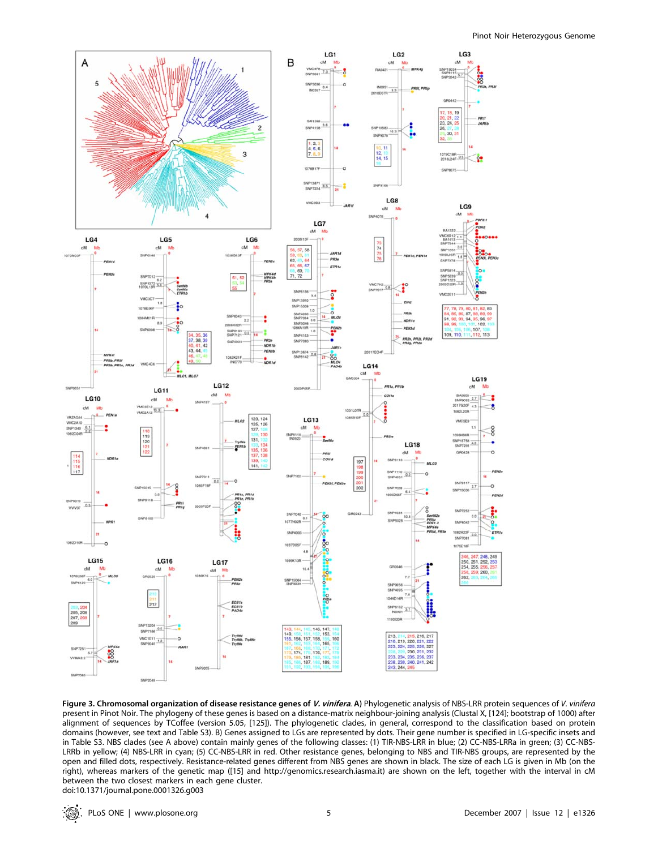

Figure 3. Chromosomal organization of disease resistance genes of V. vinifera. A) Phylogenetic analysis of NBS-LRR protein sequences of V. vinifera present in Pinot Noir. The phylogeny of these genes is based on a distance-matrix neighbour-joining analysis (Clustal X, [124]; bootstrap of 1000) after alignment of sequences by TCoffee (version 5.05, [125]). The phylogenetic clades, in general, correspond to the classification based on protein domains (however, see text and Table S3). B) Genes assigned to LGs are represented by dots. Their gene number is specified in LG-specific insets and in Table S3. NBS clades (see A above) contain mainly genes of the following classes: (1) TIR-NBS-LRR in blue; (2) CC-NBS-LRRa in green; (3) CC-NBS-LRRb in yellow; (4) NBS-LRR in cyan; (5) CC-NBS-LRR in red. Other resistance genes, belonging to NBS and TIR-NBS groups, are represented by the open and filled dots, respectively. Resistance-related genes different from NBS genes are shown in black. The size of each LG is given in Mb (on the right), whereas markers of the genetic map ([15] and http://genomics.research.iasma.it) are shown on the left, together with the interval in cM between the two closest markers in each gene cluster. doi:10.1371/journal.pone.0001326.g003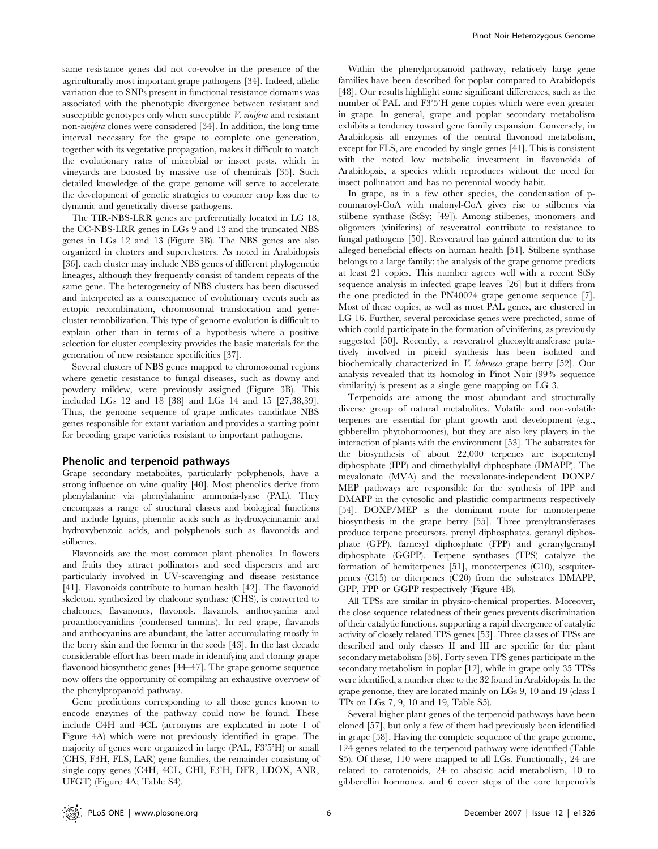same resistance genes did not co-evolve in the presence of the agriculturally most important grape pathogens [34]. Indeed, allelic variation due to SNPs present in functional resistance domains was associated with the phenotypic divergence between resistant and susceptible genotypes only when susceptible  $V$ .  $\textit{unifera}$  and resistant non-vinifera clones were considered [34]. In addition, the long time interval necessary for the grape to complete one generation, together with its vegetative propagation, makes it difficult to match the evolutionary rates of microbial or insect pests, which in vineyards are boosted by massive use of chemicals [35]. Such detailed knowledge of the grape genome will serve to accelerate the development of genetic strategies to counter crop loss due to dynamic and genetically diverse pathogens.

The TIR-NBS-LRR genes are preferentially located in LG 18, the CC-NBS-LRR genes in LGs 9 and 13 and the truncated NBS genes in LGs 12 and 13 (Figure 3B). The NBS genes are also organized in clusters and superclusters. As noted in Arabidopsis [36], each cluster may include NBS genes of different phylogenetic lineages, although they frequently consist of tandem repeats of the same gene. The heterogeneity of NBS clusters has been discussed and interpreted as a consequence of evolutionary events such as ectopic recombination, chromosomal translocation and genecluster remobilization. This type of genome evolution is difficult to explain other than in terms of a hypothesis where a positive selection for cluster complexity provides the basic materials for the generation of new resistance specificities [37].

Several clusters of NBS genes mapped to chromosomal regions where genetic resistance to fungal diseases, such as downy and powdery mildew, were previously assigned (Figure 3B). This included LGs 12 and 18 [38] and LGs 14 and 15 [27,38,39]. Thus, the genome sequence of grape indicates candidate NBS genes responsible for extant variation and provides a starting point for breeding grape varieties resistant to important pathogens.

# Phenolic and terpenoid pathways

Grape secondary metabolites, particularly polyphenols, have a strong influence on wine quality [40]. Most phenolics derive from phenylalanine via phenylalanine ammonia-lyase (PAL). They encompass a range of structural classes and biological functions and include lignins, phenolic acids such as hydroxycinnamic and hydroxybenzoic acids, and polyphenols such as flavonoids and stilbenes.

Flavonoids are the most common plant phenolics. In flowers and fruits they attract pollinators and seed dispersers and are particularly involved in UV-scavenging and disease resistance [41]. Flavonoids contribute to human health [42]. The flavonoid skeleton, synthesized by chalcone synthase (CHS), is converted to chalcones, flavanones, flavonols, flavanols, anthocyanins and proanthocyanidins (condensed tannins). In red grape, flavanols and anthocyanins are abundant, the latter accumulating mostly in the berry skin and the former in the seeds [43]. In the last decade considerable effort has been made in identifying and cloning grape flavonoid biosynthetic genes [44–47]. The grape genome sequence now offers the opportunity of compiling an exhaustive overview of the phenylpropanoid pathway.

Gene predictions corresponding to all those genes known to encode enzymes of the pathway could now be found. These include C4H and 4CL (acronyms are explicated in note 1 of Figure 4A) which were not previously identified in grape. The majority of genes were organized in large (PAL, F3'5'H) or small (CHS, F3H, FLS, LAR) gene families, the remainder consisting of single copy genes (C4H, 4CL, CHI, F3'H, DFR, LDOX, ANR, UFGT) (Figure 4A; Table S4).

Within the phenylpropanoid pathway, relatively large gene families have been described for poplar compared to Arabidopsis [48]. Our results highlight some significant differences, such as the number of PAL and F3'5'H gene copies which were even greater in grape. In general, grape and poplar secondary metabolism exhibits a tendency toward gene family expansion. Conversely, in Arabidopsis all enzymes of the central flavonoid metabolism, except for FLS, are encoded by single genes [41]. This is consistent with the noted low metabolic investment in flavonoids of Arabidopsis, a species which reproduces without the need for insect pollination and has no perennial woody habit.

In grape, as in a few other species, the condensation of pcoumaroyl-CoA with malonyl-CoA gives rise to stilbenes via stilbene synthase (StSy; [49]). Among stilbenes, monomers and oligomers (viniferins) of resveratrol contribute to resistance to fungal pathogens [50]. Resveratrol has gained attention due to its alleged beneficial effects on human health [51]. Stilbene synthase belongs to a large family: the analysis of the grape genome predicts at least 21 copies. This number agrees well with a recent StSy sequence analysis in infected grape leaves [26] but it differs from the one predicted in the PN40024 grape genome sequence [7]. Most of these copies, as well as most PAL genes, are clustered in LG 16. Further, several peroxidase genes were predicted, some of which could participate in the formation of viniferins, as previously suggested [50]. Recently, a resveratrol glucosyltransferase putatively involved in piceid synthesis has been isolated and biochemically characterized in V. labrusca grape berry [52]. Our analysis revealed that its homolog in Pinot Noir (99% sequence similarity) is present as a single gene mapping on LG 3.

Terpenoids are among the most abundant and structurally diverse group of natural metabolites. Volatile and non-volatile terpenes are essential for plant growth and development (e.g., gibberellin phytohormones), but they are also key players in the interaction of plants with the environment [53]. The substrates for the biosynthesis of about 22,000 terpenes are isopentenyl diphosphate (IPP) and dimethylallyl diphosphate (DMAPP). The mevalonate (MVA) and the mevalonate-independent DOXP/ MEP pathways are responsible for the synthesis of IPP and DMAPP in the cytosolic and plastidic compartments respectively [54]. DOXP/MEP is the dominant route for monoterpene biosynthesis in the grape berry [55]. Three prenyltransferases produce terpene precursors, prenyl diphosphates, geranyl diphosphate (GPP), farnesyl diphosphate (FPP) and geranylgeranyl diphosphate (GGPP). Terpene synthases (TPS) catalyze the formation of hemiterpenes [51], monoterpenes (C10), sesquiterpenes (C15) or diterpenes (C20) from the substrates DMAPP, GPP, FPP or GGPP respectively (Figure 4B).

All TPSs are similar in physico-chemical properties. Moreover, the close sequence relatedness of their genes prevents discrimination of their catalytic functions, supporting a rapid divergence of catalytic activity of closely related TPS genes [53]. Three classes of TPSs are described and only classes II and III are specific for the plant secondary metabolism [56]. Forty seven TPS genes participate in the secondary metabolism in poplar [12], while in grape only 35 TPSs were identified, a number close to the 32 found in Arabidopsis. In the grape genome, they are located mainly on LGs 9, 10 and 19 (class I TPs on LGs 7, 9, 10 and 19, Table S5).

Several higher plant genes of the terpenoid pathways have been cloned [57], but only a few of them had previously been identified in grape [58]. Having the complete sequence of the grape genome, 124 genes related to the terpenoid pathway were identified (Table S5). Of these, 110 were mapped to all LGs. Functionally, 24 are related to carotenoids, 24 to abscisic acid metabolism, 10 to gibberellin hormones, and 6 cover steps of the core terpenoids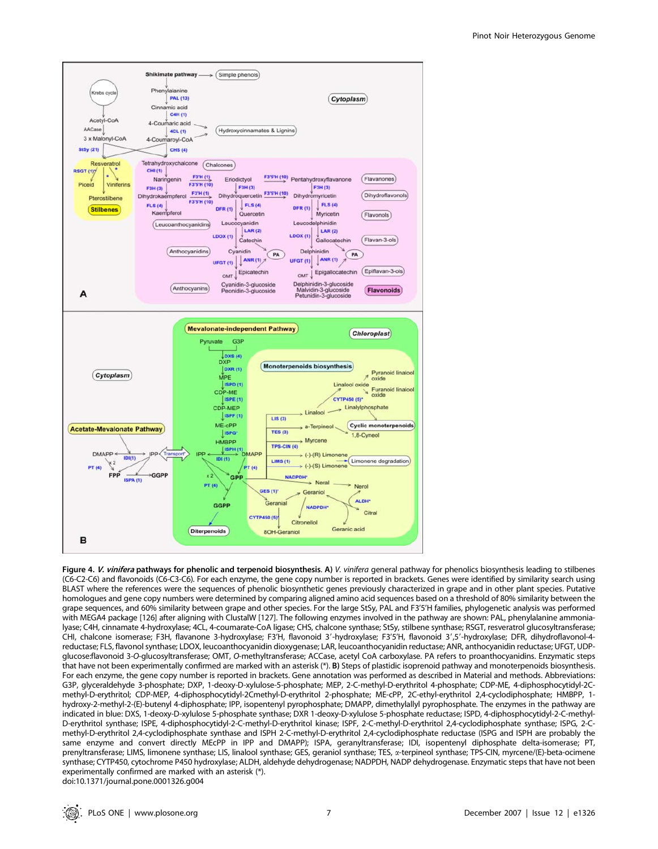

Figure 4. *V. vinifera* pathways for phenolic and terpenoid biosynthesis. A) V. vinifera general pathway for phenolics biosynthesis leading to stilbenes (C6-C2-C6) and flavonoids (C6-C3-C6). For each enzyme, the gene copy number is reported in brackets. Genes were identified by similarity search using BLAST where the references were the sequences of phenolic biosynthetic genes previously characterized in grape and in other plant species. Putative homologues and gene copy numbers were determined by comparing aligned amino acid sequences based on a threshold of 80% similarity between the grape sequences, and 60% similarity between grape and other species. For the large StSy, PAL and F3'5'H families, phylogenetic analysis was performed with MEGA4 package [126] after aligning with ClustalW [127]. The following enzymes involved in the pathway are shown: PAL, phenylalanine ammonialyase; C4H, cinnamate 4-hydroxylase; 4CL, 4-coumarate-CoA ligase; CHS, chalcone synthase; StSy, stilbene synthase; RSGT, resveratrol glucosyltransferase; CHI, chalcone isomerase; F3H, flavanone 3-hydroxylase; F3'H, flavonoid 3'-hydroxylase; F3'5'H, flavonoid 3',5'-hydroxylase; DFR, dihydroflavonol-4reductase; FLS, flavonol synthase; LDOX, leucoanthocyanidin dioxygenase; LAR, leucoanthocyanidin reductase; ANR, anthocyanidin reductase; UFGT, UDPglucose:flavonoid 3-O-glucosyltransferase; OMT, O-methyltransferase; ACCase, acetyl CoA carboxylase. PA refers to proanthocyanidins. Enzymatic steps that have not been experimentally confirmed are marked with an asterisk (\*). B) Steps of plastidic isoprenoid pathway and monoterpenoids biosynthesis. For each enzyme, the gene copy number is reported in brackets. Gene annotation was performed as described in Material and methods. Abbreviations: G3P, glyceraldehyde 3-phosphate; DXP, 1-deoxy-D-xylulose-5-phosphate; MEP, 2-C-methyl-D-erythritol 4-phosphate; CDP-ME, 4-diphosphocytidyl-2Cmethyl-D-erythritol; CDP-MEP, 4-diphosphocytidyl-2Cmethyl-D-erythritol 2-phosphate; ME-cPP, 2C-ethyl-erythritol 2,4-cyclodiphosphate; HMBPP, 1 hydroxy-2-methyl-2-(E)-butenyl 4-diphosphate; IPP, isopentenyl pyrophosphate; DMAPP, dimethylallyl pyrophosphate. The enzymes in the pathway are indicated in blue: DXS, 1-deoxy-D-xylulose 5-phosphate synthase; DXR 1-deoxy-D-xylulose 5-phosphate reductase; ISPD, 4-diphosphocytidyl-2-C-methyl-D-erythritol synthase; ISPE, 4-diphosphocytidyl-2-C-methyl-D-erythritol kinase; ISPF, 2-C-methyl-D-erythritol 2,4-cyclodiphosphate synthase; ISPG, 2-Cmethyl-D-erythritol 2,4-cyclodiphosphate synthase and ISPH 2-C-methyl-D-erythritol 2,4-cyclodiphosphate reductase (ISPG and ISPH are probably the same enzyme and convert directly MEcPP in IPP and DMAPP); ISPA, geranyltransferase; IDI, isopentenyl diphosphate delta-isomerase; PT, prenyltransferase; LIMS, limonene synthase; LIS, linalool synthase; GES, geraniol synthase; TES, a-terpineol synthase; TPS-CIN, myrcene/(E)-beta-ocimene synthase; CYTP450, cytochrome P450 hydroxylase; ALDH, aldehyde dehydrogenase; NADPDH, NADP dehydrogenase. Enzymatic steps that have not been experimentally confirmed are marked with an asterisk (\*). doi:10.1371/journal.pone.0001326.g004

PLoS ONE | www.plosone.org 7 December 2007 | Issue 12 | e1326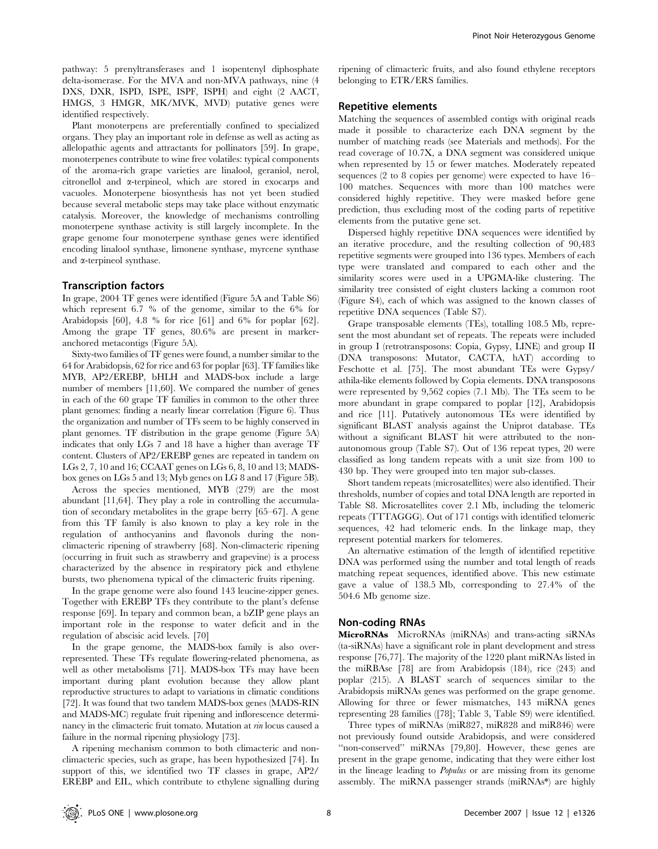pathway: 5 prenyltransferases and 1 isopentenyl diphosphate delta-isomerase. For the MVA and non-MVA pathways, nine (4 DXS, DXR, ISPD, ISPE, ISPF, ISPH) and eight (2 AACT, HMGS, 3 HMGR, MK/MVK, MVD) putative genes were identified respectively.

Plant monoterpens are preferentially confined to specialized organs. They play an important role in defense as well as acting as allelopathic agents and attractants for pollinators [59]. In grape, monoterpenes contribute to wine free volatiles: typical components of the aroma-rich grape varieties are linalool, geraniol, nerol, citronellol and a-terpineol, which are stored in exocarps and vacuoles. Monoterpene biosynthesis has not yet been studied because several metabolic steps may take place without enzymatic catalysis. Moreover, the knowledge of mechanisms controlling monoterpene synthase activity is still largely incomplete. In the grape genome four monoterpene synthase genes were identified encoding linalool synthase, limonene synthase, myrcene synthase and a-terpineol synthase.

## Transcription factors

In grape, 2004 TF genes were identified (Figure 5A and Table S6) which represent 6.7 % of the genome, similar to the 6% for Arabidopsis [60], 4.8 % for rice [61] and 6% for poplar [62]. Among the grape TF genes, 80.6% are present in markeranchored metacontigs (Figure 5A).

Sixty-two families of TF genes were found, a number similar to the 64 for Arabidopsis, 62 for rice and 63 for poplar [63]. TF families like MYB, AP2/EREBP, bHLH and MADS-box include a large number of members [11,60]. We compared the number of genes in each of the 60 grape TF families in common to the other three plant genomes: finding a nearly linear correlation (Figure 6). Thus the organization and number of TFs seem to be highly conserved in plant genomes. TF distribution in the grape genome (Figure 5A) indicates that only LGs 7 and 18 have a higher than average TF content. Clusters of AP2/EREBP genes are repeated in tandem on LGs 2, 7, 10 and 16; CCAAT genes on LGs 6, 8, 10 and 13; MADSbox genes on LGs 5 and 13; Myb genes on LG 8 and 17 (Figure 5B).

Across the species mentioned, MYB (279) are the most abundant [11,64]. They play a role in controlling the accumulation of secondary metabolites in the grape berry [65–67]. A gene from this TF family is also known to play a key role in the regulation of anthocyanins and flavonols during the nonclimacteric ripening of strawberry [68]. Non-climacteric ripening (occurring in fruit such as strawberry and grapevine) is a process characterized by the absence in respiratory pick and ethylene bursts, two phenomena typical of the climacteric fruits ripening.

In the grape genome were also found 143 leucine-zipper genes. Together with EREBP TFs they contribute to the plant's defense response [69]. In tepary and common bean, a bZIP gene plays an important role in the response to water deficit and in the regulation of abscisic acid levels. [70]

In the grape genome, the MADS-box family is also overrepresented. These TFs regulate flowering-related phenomena, as well as other metabolisms [71]. MADS-box TFs may have been important during plant evolution because they allow plant reproductive structures to adapt to variations in climatic conditions [72]. It was found that two tandem MADS-box genes (MADS-RIN and MADS-MC) regulate fruit ripening and inflorescence determinancy in the climacteric fruit tomato. Mutation at rin locus caused a failure in the normal ripening physiology [73].

A ripening mechanism common to both climacteric and nonclimacteric species, such as grape, has been hypothesized [74]. In support of this, we identified two TF classes in grape, AP2/ EREBP and EIL, which contribute to ethylene signalling during ripening of climacteric fruits, and also found ethylene receptors belonging to ETR/ERS families.

#### Repetitive elements

Matching the sequences of assembled contigs with original reads made it possible to characterize each DNA segment by the number of matching reads (see Materials and methods). For the read coverage of 10.7X, a DNA segment was considered unique when represented by 15 or fewer matches. Moderately repeated sequences (2 to 8 copies per genome) were expected to have 16– 100 matches. Sequences with more than 100 matches were considered highly repetitive. They were masked before gene prediction, thus excluding most of the coding parts of repetitive elements from the putative gene set.

Dispersed highly repetitive DNA sequences were identified by an iterative procedure, and the resulting collection of 90,483 repetitive segments were grouped into 136 types. Members of each type were translated and compared to each other and the similarity scores were used in a UPGMA-like clustering. The similarity tree consisted of eight clusters lacking a common root (Figure S4), each of which was assigned to the known classes of repetitive DNA sequences (Table S7).

Grape transposable elements (TEs), totalling 108.5 Mb, represent the most abundant set of repeats. The repeats were included in group I (retrotransposons: Copia, Gypsy, LINE) and group II (DNA transposons: Mutator, CACTA, hAT) according to Feschotte et al. [75]. The most abundant TEs were Gypsy/ athila-like elements followed by Copia elements. DNA transposons were represented by 9,562 copies (7.1 Mb). The TEs seem to be more abundant in grape compared to poplar [12], Arabidopsis and rice [11]. Putatively autonomous TEs were identified by significant BLAST analysis against the Uniprot database. TEs without a significant BLAST hit were attributed to the nonautonomous group (Table S7). Out of 136 repeat types, 20 were classified as long tandem repeats with a unit size from 100 to 430 bp. They were grouped into ten major sub-classes.

Short tandem repeats (microsatellites) were also identified. Their thresholds, number of copies and total DNA length are reported in Table S8. Microsatellites cover 2.1 Mb, including the telomeric repeats (TTTAGGG). Out of 171 contigs with identified telomeric sequences, 42 had telomeric ends. In the linkage map, they represent potential markers for telomeres.

An alternative estimation of the length of identified repetitive DNA was performed using the number and total length of reads matching repeat sequences, identified above. This new estimate gave a value of 138.5 Mb, corresponding to 27.4% of the 504.6 Mb genome size.

#### Non-coding RNAs

MicroRNAs MicroRNAs (miRNAs) and trans-acting siRNAs (ta-siRNAs) have a significant role in plant development and stress response [76,77]. The majority of the 1220 plant miRNAs listed in the miRBAse [78] are from Arabidopsis (184), rice (243) and poplar (215). A BLAST search of sequences similar to the Arabidopsis miRNAs genes was performed on the grape genome. Allowing for three or fewer mismatches, 143 miRNA genes representing 28 families ([78]; Table 3, Table S9) were identified.

Three types of miRNAs (miR827, miR828 and miR846) were not previously found outside Arabidopsis, and were considered "non-conserved" miRNAs [79,80]. However, these genes are present in the grape genome, indicating that they were either lost in the lineage leading to Populus or are missing from its genome assembly. The miRNA passenger strands (miRNAs\*) are highly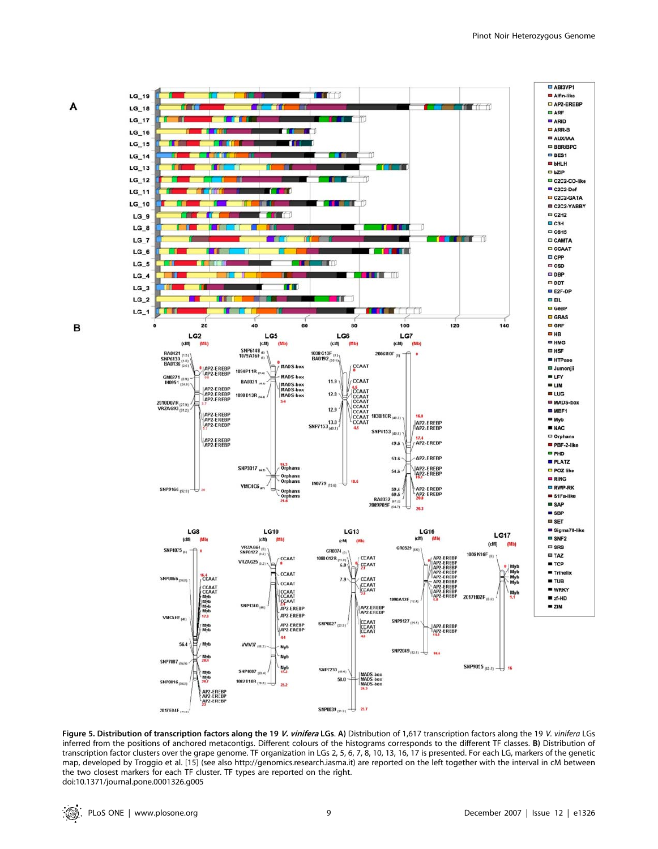

Figure 5. Distribution of transcription factors along the 19 V. vinifera LGs. A) Distribution of 1,617 transcription factors along the 19 V. vinifera LGs inferred from the positions of anchored metacontigs. Different colours of the histograms corresponds to the different TF classes. B) Distribution of transcription factor clusters over the grape genome. TF organization in LGs 2, 5, 6, 7, 8, 10, 13, 16, 17 is presented. For each LG, markers of the genetic map, developed by Troggio et al. [15] (see also http://genomics.research.iasma.it) are reported on the left together with the interval in cM between the two closest markers for each TF cluster. TF types are reported on the right. doi:10.1371/journal.pone.0001326.g005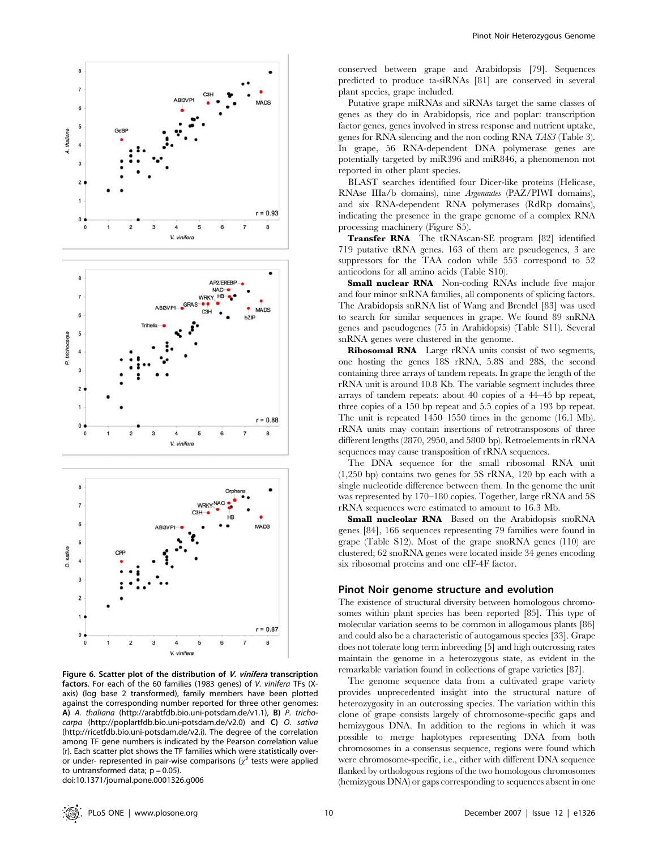

Figure 6. Scatter plot of the distribution of *V. vinifera* transcription factors. For each of the 60 families (1983 genes) of V. vinifera TFs (Xaxis) (log base 2 transformed), family members have been plotted against the corresponding number reported for three other genomes: A) A. thaliana (http://arabtfdb.bio.uni-potsdam.de/v1.1), B) P. trichocarpa (http://poplartfdb.bio.uni-potsdam.de/v2.0) and C) O. sativa (http://ricetfdb.bio.uni-potsdam.de/v2.i). The degree of the correlation among TF gene numbers is indicated by the Pearson correlation value (r). Each scatter plot shows the TF families which were statistically overor under- represented in pair-wise comparisons  $\chi^2$  tests were applied to untransformed data:  $p = 0.05$ )

doi:10.1371/journal.pone.0001326.g006

conserved between grape and Arabidopsis [79]. Sequences predicted to produce ta-siRNAs [81] are conserved in several plant species, grape included.

Putative grape miRNAs and siRNAs target the same classes of genes as they do in Arabidopsis, rice and poplar: transcription factor genes, genes involved in stress response and nutrient uptake, genes for RNA silencing and the non coding RNA TAS3 (Table 3). In grape, 56 RNA-dependent DNA polymerase genes are potentially targeted by miR396 and miR846, a phenomenon not reported in other plant species.

BLAST searches identified four Dicer-like proteins (Helicase, RNAse IIIa/b domains), nine Argonautes (PAZ/PIWI domains), and six RNA-dependent RNA polymerases (RdRp domains), indicating the presence in the grape genome of a complex RNA processing machinery (Figure S5).

Transfer RNA The tRNAscan-SE program [82] identified 719 putative tRNA genes. 163 of them are pseudogenes, 3 are suppressors for the TAA codon while 553 correspond to 52 anticodons for all amino acids (Table S10).

Small nuclear RNA Non-coding RNAs include five major and four minor snRNA families, all components of splicing factors. The Arabidopsis snRNA list of Wang and Brendel [83] was used to search for similar sequences in grape. We found 89 snRNA genes and pseudogenes (75 in Arabidopsis) (Table S11). Several snRNA genes were clustered in the genome.

Ribosomal RNA Large rRNA units consist of two segments, one hosting the genes 18S rRNA, 5.8S and 28S, the second containing three arrays of tandem repeats. In grape the length of the rRNA unit is around 10.8 Kb. The variable segment includes three arrays of tandem repeats: about 40 copies of a 44–45 bp repeat, three copies of a 150 bp repeat and 5.5 copies of a 193 bp repeat. The unit is repeated 1450–1550 times in the genome (16.1 Mb). rRNA units may contain insertions of retrotransposons of three different lengths (2870, 2950, and 5800 bp). Retroelements in rRNA sequences may cause transposition of rRNA sequences.

The DNA sequence for the small ribosomal RNA unit (1,250 bp) contains two genes for 5S rRNA, 120 bp each with a single nucleotide difference between them. In the genome the unit was represented by 170–180 copies. Together, large rRNA and 5S rRNA sequences were estimated to amount to 16.3 Mb.

Small nucleolar RNA Based on the Arabidopsis snoRNA genes [84], 166 sequences representing 79 families were found in grape (Table S12). Most of the grape snoRNA genes (110) are clustered; 62 snoRNA genes were located inside 34 genes encoding six ribosomal proteins and one eIF-4F factor.

#### Pinot Noir genome structure and evolution

The existence of structural diversity between homologous chromosomes within plant species has been reported [85]. This type of molecular variation seems to be common in allogamous plants [86] and could also be a characteristic of autogamous species [33]. Grape does not tolerate long term inbreeding [5] and high outcrossing rates maintain the genome in a heterozygous state, as evident in the remarkable variation found in collections of grape varieties [87].

The genome sequence data from a cultivated grape variety provides unprecedented insight into the structural nature of heterozygosity in an outcrossing species. The variation within this clone of grape consists largely of chromosome-specific gaps and hemizygous DNA. In addition to the regions in which it was possible to merge haplotypes representing DNA from both chromosomes in a consensus sequence, regions were found which were chromosome-specific, i.e., either with different DNA sequence flanked by orthologous regions of the two homologous chromosomes (hemizygous DNA) or gaps corresponding to sequences absent in one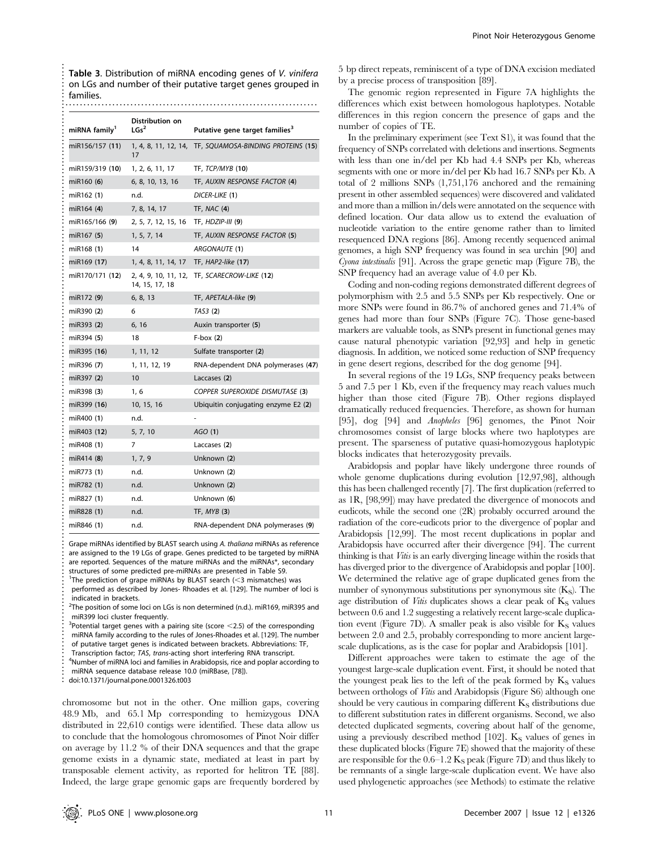Table 3. Distribution of miRNA encoding genes of V. vinifera on LGs and number of their putative target genes grouped in families.

| miRNA family <sup>1</sup> | Distribution on<br>LGs <sup>2</sup>    | Putative gene target families <sup>3</sup>              |
|---------------------------|----------------------------------------|---------------------------------------------------------|
| miR156/157 ( <b>11</b> )  | 17                                     | 1, 4, 8, 11, 12, 14, TF, SQUAMOSA-BINDING PROTEINS (15) |
| miR159/319 (10)           | 1, 2, 6, 11, 17                        | TF, TCP/MYB (10)                                        |
| miR160 (6)                | 6, 8, 10, 13, 16                       | TF, AUXIN RESPONSE FACTOR (4)                           |
| miR162 (1)                | n.d.                                   | DICER-LIKE (1)                                          |
| miR164 (4)                | 7, 8, 14, 17                           | TF, $NAC(4)$                                            |
| miR165/166 (9)            | 2, 5, 7, 12, 15, 16                    | TF, HDZIP-III (9)                                       |
| miR167 (5)                | 1, 5, 7, 14                            | TF, AUXIN RESPONSE FACTOR (5)                           |
| miR168 (1)                | 14                                     | <b>ARGONAUTE (1)</b>                                    |
| miR169 (17)               | 1, 4, 8, 11, 14, 17                    | TF, HAP2-like (17)                                      |
| miR170/171 ( <b>12</b> )  | 2, 4, 9, 10, 11, 12,<br>14, 15, 17, 18 | TF, SCARECROW-LIKE (12)                                 |
| miR172 (9)                | 6, 8, 13                               | TF, APETALA-like (9)                                    |
| miR390 (2)                | 6                                      | TAS3 (2)                                                |
| miR393 (2)                | 6, 16                                  | Auxin transporter (5)                                   |
| miR394 (5)                | 18                                     | $F-box (2)$                                             |
| miR395 (16)               | 1, 11, 12                              | Sulfate transporter (2)                                 |
| miR396 (7)                | 1, 11, 12, 19                          | RNA-dependent DNA polymerases (47)                      |
| miR397 (2)                | 10                                     | Laccases (2)                                            |
| miR398 (3)                | 1, 6                                   | COPPER SUPEROXIDE DISMUTASE (3)                         |
| miR399 (16)               | 10, 15, 16                             | Ubiquitin conjugating enzyme E2 (2)                     |
| miR400 (1)                | n.d.                                   |                                                         |
| miR403 (12)               | 5, 7, 10                               | AGO (1)                                                 |
| miR408 (1)                | 7                                      | Laccases (2)                                            |
| miR414 (8)                | 1, 7, 9                                | Unknown (2)                                             |
| miR773 (1)                | n.d.                                   | Unknown (2)                                             |
| miR782 (1)                | n.d.                                   | Unknown (2)                                             |
| miR827 (1)                | n.d.                                   | Unknown (6)                                             |
| miR828 (1)                | n.d.                                   | $TF, MYB$ (3)                                           |
| miR846 (1)                | n.d.                                   | RNA-dependent DNA polymerases (9)                       |

Grape miRNAs identified by BLAST search using A. thaliana miRNAs as reference are assigned to the 19 LGs of grape. Genes predicted to be targeted by miRNA are reported. Sequences of the mature miRNAs and the miRNAs\*, secondary structures of some predicted pre-miRNAs are presented in Table S9.

<sup>1</sup>The prediction of grape miRNAs by BLAST search ( $<$ 3 mismatches) was

performed as described by Jones- Rhoades et al. [129]. The number of loci is indicated in brackets.

 $2$ The position of some loci on LGs is non determined (n.d.). miR169, miR395 and miR399 loci cluster frequently.

 $3$ Potential target genes with a pairing site (score  $<$  2.5) of the corresponding

miRNA family according to the rules of Jones-Rhoades et al. [129]. The number

of putative target genes is indicated between brackets. Abbreviations: TF,

Transcription factor; TAS, trans-acting short interfering RNA transcript.

 $<sup>4</sup>$ Number of miRNA loci and families in Arabidopsis, rice and poplar according to</sup> miRNA sequence database release 10.0 (miRBase, [78]).

doi:10.1371/journal.pone.0001326.t003

...............................................................................................................................

.............................................

chromosome but not in the other. One million gaps, covering 48.9 Mb, and 65.1 Mp corresponding to hemizygous DNA distributed in 22,610 contigs were identified. These data allow us to conclude that the homologous chromosomes of Pinot Noir differ on average by 11.2 % of their DNA sequences and that the grape genome exists in a dynamic state, mediated at least in part by transposable element activity, as reported for helitron TE [88]. Indeed, the large grape genomic gaps are frequently bordered by

5 bp direct repeats, reminiscent of a type of DNA excision mediated by a precise process of transposition [89].

The genomic region represented in Figure 7A highlights the differences which exist between homologous haplotypes. Notable differences in this region concern the presence of gaps and the number of copies of TE.

In the preliminary experiment (see Text S1), it was found that the frequency of SNPs correlated with deletions and insertions. Segments with less than one in/del per Kb had 4.4 SNPs per Kb, whereas segments with one or more in/del per Kb had 16.7 SNPs per Kb. A total of 2 millions SNPs (1,751,176 anchored and the remaining present in other assembled sequences) were discovered and validated and more than a million in/dels were annotated on the sequence with defined location. Our data allow us to extend the evaluation of nucleotide variation to the entire genome rather than to limited resequenced DNA regions [86]. Among recently sequenced animal genomes, a high SNP frequency was found in sea urchin [90] and Cyona intestinalis [91]. Across the grape genetic map (Figure 7B), the SNP frequency had an average value of 4.0 per Kb.

Coding and non-coding regions demonstrated different degrees of polymorphism with 2.5 and 5.5 SNPs per Kb respectively. One or more SNPs were found in 86.7% of anchored genes and 71.4% of genes had more than four SNPs (Figure 7C). Those gene-based markers are valuable tools, as SNPs present in functional genes may cause natural phenotypic variation [92,93] and help in genetic diagnosis. In addition, we noticed some reduction of SNP frequency in gene desert regions, described for the dog genome [94].

In several regions of the 19 LGs, SNP frequency peaks between 5 and 7.5 per 1 Kb, even if the frequency may reach values much higher than those cited (Figure 7B). Other regions displayed dramatically reduced frequencies. Therefore, as shown for human [95], dog [94] and Anopheles [96] genomes, the Pinot Noir chromosomes consist of large blocks where two haplotypes are present. The sparseness of putative quasi-homozygous haplotypic blocks indicates that heterozygosity prevails.

Arabidopsis and poplar have likely undergone three rounds of whole genome duplications during evolution [12,97,98], although this has been challenged recently [7]. The first duplication (referred to as 1R, [98,99]) may have predated the divergence of monocots and eudicots, while the second one (2R) probably occurred around the radiation of the core-eudicots prior to the divergence of poplar and Arabidopsis [12,99]. The most recent duplications in poplar and Arabidopsis have occurred after their divergence [94]. The current thinking is that Vitis is an early diverging lineage within the rosids that has diverged prior to the divergence of Arabidopsis and poplar [100]. We determined the relative age of grape duplicated genes from the number of synonymous substitutions per synonymous site  $(K_S)$ . The age distribution of *Vitis* duplicates shows a clear peak of  $K<sub>S</sub>$  values between 0.6 and 1.2 suggesting a relatively recent large-scale duplication event (Figure 7D). A smaller peak is also visible for  $K_S$  values between 2.0 and 2.5, probably corresponding to more ancient largescale duplications, as is the case for poplar and Arabidopsis [101].

Different approaches were taken to estimate the age of the youngest large-scale duplication event. First, it should be noted that the youngest peak lies to the left of the peak formed by  $K_S$  values between orthologs of Vitis and Arabidopsis (Figure S6) although one should be very cautious in comparing different  $K_S$  distributions due to different substitution rates in different organisms. Second, we also detected duplicated segments, covering about half of the genome, using a previously described method [102]. K<sub>S</sub> values of genes in these duplicated blocks (Figure 7E) showed that the majority of these are responsible for the  $0.6-1.2$  K<sub>S</sub> peak (Figure 7D) and thus likely to be remnants of a single large-scale duplication event. We have also used phylogenetic approaches (see Methods) to estimate the relative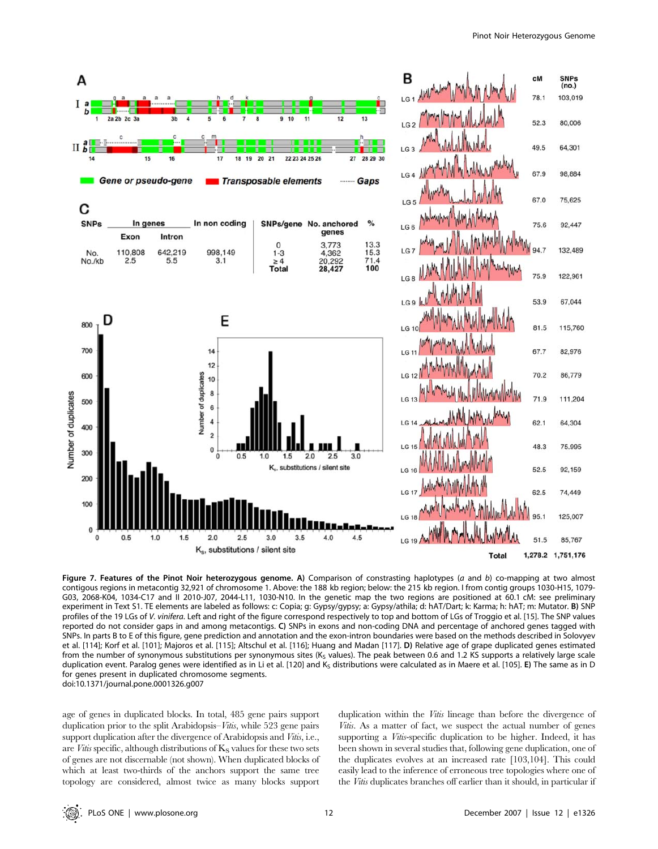

Figure 7. Features of the Pinot Noir heterozygous genome. A) Comparison of constrasting haplotypes (a and b) co-mapping at two almost contigous regions in metacontig 32,921 of chromosome 1. Above: the 188 kb region; below: the 215 kb region. I from contig groups 1030-H15, 1079- G03, 2068-K04, 1034-C17 and II 2010-J07, 2044-L11, 1030-N10. In the genetic map the two regions are positioned at 60.1 cM: see preliminary experiment in Text S1. TE elements are labeled as follows: c: Copia; g: Gypsy/gypsy; a: Gypsy/athila; d: hAT/Dart; k: Karma; h: hAT; m: Mutator. B) SNP profiles of the 19 LGs of V. vinifera. Left and right of the figure correspond respectively to top and bottom of LGs of Troggio et al. [15]. The SNP values reported do not consider gaps in and among metacontigs. C) SNPs in exons and non-coding DNA and percentage of anchored genes tagged with SNPs. In parts B to E of this figure, gene prediction and annotation and the exon-intron boundaries were based on the methods described in Solovyev et al. [114]; Korf et al. [101]; Majoros et al. [115]; Altschul et al. [116]; Huang and Madan [117]. D) Relative age of grape duplicated genes estimated from the number of synonymous substitutions per synonymous sites (K<sub>S</sub> values). The peak between 0.6 and 1.2 KS supports a relatively large scale duplication event. Paralog genes were identified as in Li et al. [120] and K<sub>s</sub> distributions were calculated as in Maere et al. [105]. E) The same as in D for genes present in duplicated chromosome segments. doi:10.1371/journal.pone.0001326.g007

age of genes in duplicated blocks. In total, 485 gene pairs support duplication prior to the split Arabidopsis–Vitis, while 523 gene pairs support duplication after the divergence of Arabidopsis and Vitis, i.e., are *Vitis* specific, although distributions of  $K_S$  values for these two sets of genes are not discernable (not shown). When duplicated blocks of which at least two-thirds of the anchors support the same tree topology are considered, almost twice as many blocks support duplication within the Vitis lineage than before the divergence of Vitis. As a matter of fact, we suspect the actual number of genes supporting a Vitis-specific duplication to be higher. Indeed, it has been shown in several studies that, following gene duplication, one of the duplicates evolves at an increased rate [103,104]. This could easily lead to the inference of erroneous tree topologies where one of the Vitis duplicates branches off earlier than it should, in particular if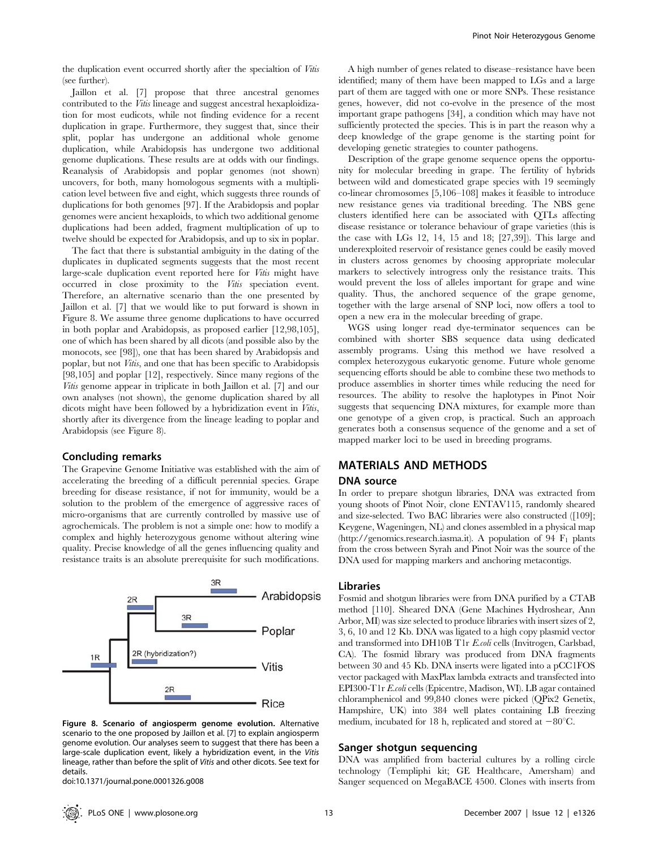the duplication event occurred shortly after the specialtion of Vitis (see further).

Jaillon et al. [7] propose that three ancestral genomes contributed to the Vitis lineage and suggest ancestral hexaploidization for most eudicots, while not finding evidence for a recent duplication in grape. Furthermore, they suggest that, since their split, poplar has undergone an additional whole genome duplication, while Arabidopsis has undergone two additional genome duplications. These results are at odds with our findings. Reanalysis of Arabidopsis and poplar genomes (not shown) uncovers, for both, many homologous segments with a multiplication level between five and eight, which suggests three rounds of duplications for both genomes [97]. If the Arabidopsis and poplar genomes were ancient hexaploids, to which two additional genome duplications had been added, fragment multiplication of up to twelve should be expected for Arabidopsis, and up to six in poplar.

The fact that there is substantial ambiguity in the dating of the duplicates in duplicated segments suggests that the most recent large-scale duplication event reported here for Vitis might have occurred in close proximity to the Vitis speciation event. Therefore, an alternative scenario than the one presented by Jaillon et al. [7] that we would like to put forward is shown in Figure 8. We assume three genome duplications to have occurred in both poplar and Arabidopsis, as proposed earlier [12,98,105], one of which has been shared by all dicots (and possible also by the monocots, see [98]), one that has been shared by Arabidopsis and poplar, but not Vitis, and one that has been specific to Arabidopsis [98,105] and poplar [12], respectively. Since many regions of the Vitis genome appear in triplicate in both Jaillon et al. [7] and our own analyses (not shown), the genome duplication shared by all dicots might have been followed by a hybridization event in Vitis, shortly after its divergence from the lineage leading to poplar and Arabidopsis (see Figure 8).

#### Concluding remarks

The Grapevine Genome Initiative was established with the aim of accelerating the breeding of a difficult perennial species. Grape breeding for disease resistance, if not for immunity, would be a solution to the problem of the emergence of aggressive races of micro-organisms that are currently controlled by massive use of agrochemicals. The problem is not a simple one: how to modify a complex and highly heterozygous genome without altering wine quality. Precise knowledge of all the genes influencing quality and resistance traits is an absolute prerequisite for such modifications.



Figure 8. Scenario of angiosperm genome evolution. Alternative scenario to the one proposed by Jaillon et al. [7] to explain angiosperm genome evolution. Our analyses seem to suggest that there has been a large-scale duplication event, likely a hybridization event, in the Vitis lineage, rather than before the split of Vitis and other dicots. See text for details.

doi:10.1371/journal.pone.0001326.g008

A high number of genes related to disease–resistance have been identified; many of them have been mapped to LGs and a large part of them are tagged with one or more SNPs. These resistance genes, however, did not co-evolve in the presence of the most important grape pathogens [34], a condition which may have not sufficiently protected the species. This is in part the reason why a deep knowledge of the grape genome is the starting point for developing genetic strategies to counter pathogens.

Description of the grape genome sequence opens the opportunity for molecular breeding in grape. The fertility of hybrids between wild and domesticated grape species with 19 seemingly co-linear chromosomes [5,106–108] makes it feasible to introduce new resistance genes via traditional breeding. The NBS gene clusters identified here can be associated with QTLs affecting disease resistance or tolerance behaviour of grape varieties (this is the case with LGs 12, 14, 15 and 18; [27,39]). This large and underexploited reservoir of resistance genes could be easily moved in clusters across genomes by choosing appropriate molecular markers to selectively introgress only the resistance traits. This would prevent the loss of alleles important for grape and wine quality. Thus, the anchored sequence of the grape genome, together with the large arsenal of SNP loci, now offers a tool to open a new era in the molecular breeding of grape.

WGS using longer read dye-terminator sequences can be combined with shorter SBS sequence data using dedicated assembly programs. Using this method we have resolved a complex heterozygous eukaryotic genome. Future whole genome sequencing efforts should be able to combine these two methods to produce assemblies in shorter times while reducing the need for resources. The ability to resolve the haplotypes in Pinot Noir suggests that sequencing DNA mixtures, for example more than one genotype of a given crop, is practical. Such an approach generates both a consensus sequence of the genome and a set of mapped marker loci to be used in breeding programs.

# MATERIALS AND METHODS

#### DNA source

In order to prepare shotgun libraries, DNA was extracted from young shoots of Pinot Noir, clone ENTAV115, randomly sheared and size-selected. Two BAC libraries were also constructed ([109]; Keygene, Wageningen, NL) and clones assembled in a physical map (http://genomics.research.iasma.it). A population of 94  $F_1$  plants from the cross between Syrah and Pinot Noir was the source of the DNA used for mapping markers and anchoring metacontigs.

#### Libraries

Fosmid and shotgun libraries were from DNA purified by a CTAB method [110]. Sheared DNA (Gene Machines Hydroshear, Ann Arbor, MI) was size selected to produce libraries with insert sizes of 2, 3, 6, 10 and 12 Kb. DNA was ligated to a high copy plasmid vector and transformed into DH10B T1r E.coli cells (Invitrogen, Carlsbad, CA). The fosmid library was produced from DNA fragments between 30 and 45 Kb. DNA inserts were ligated into a pCC1FOS vector packaged with MaxPlax lambda extracts and transfected into EPI300-T1r E.coli cells (Epicentre, Madison, WI). LB agar contained chloramphenicol and 99,840 clones were picked (QPix2 Genetix, Hampshire, UK) into 384 well plates containing LB freezing medium, incubated for 18 h, replicated and stored at  $-80^{\circ}$ C.

#### Sanger shotgun sequencing

DNA was amplified from bacterial cultures by a rolling circle technology (Templiphi kit; GE Healthcare, Amersham) and Sanger sequenced on MegaBACE 4500. Clones with inserts from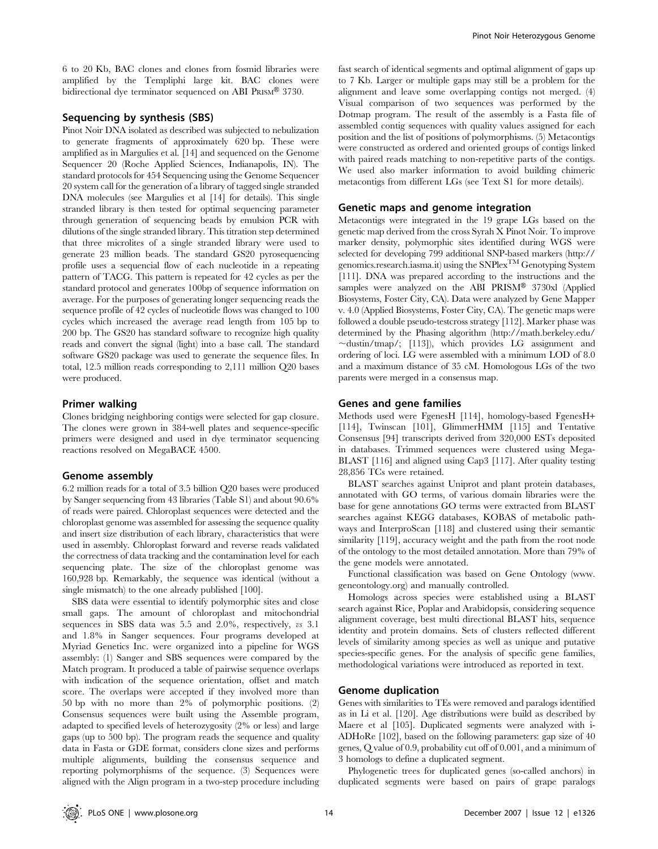6 to 20 Kb, BAC clones and clones from fosmid libraries were amplified by the Templiphi large kit. BAC clones were bidirectional dye terminator sequenced on ABI PRISM® 3730.

## Sequencing by synthesis (SBS)

Pinot Noir DNA isolated as described was subjected to nebulization to generate fragments of approximately 620 bp. These were amplified as in Margulies et al. [14] and sequenced on the Genome Sequencer 20 (Roche Applied Sciences, Indianapolis, IN). The standard protocols for 454 Sequencing using the Genome Sequencer 20 system call for the generation of a library of tagged single stranded DNA molecules (see Margulies et al [14] for details). This single stranded library is then tested for optimal sequencing parameter through generation of sequencing beads by emulsion PCR with dilutions of the single stranded library. This titration step determined that three microlites of a single stranded library were used to generate 23 million beads. The standard GS20 pyrosequencing profile uses a sequencial flow of each nucleotide in a repeating pattern of TACG. This pattern is repeated for 42 cycles as per the standard protocol and generates 100bp of sequence information on average. For the purposes of generating longer sequencing reads the sequence profile of 42 cycles of nucleotide flows was changed to 100 cycles which increased the average read length from 105 bp to 200 bp. The GS20 has standard software to recognize high quality reads and convert the signal (light) into a base call. The standard software GS20 package was used to generate the sequence files. In total, 12.5 million reads corresponding to 2,111 million Q20 bases were produced.

#### Primer walking

Clones bridging neighboring contigs were selected for gap closure. The clones were grown in 384-well plates and sequence-specific primers were designed and used in dye terminator sequencing reactions resolved on MegaBACE 4500.

#### Genome assembly

6.2 million reads for a total of 3.5 billion Q20 bases were produced by Sanger sequencing from 43 libraries (Table S1) and about 90.6% of reads were paired. Chloroplast sequences were detected and the chloroplast genome was assembled for assessing the sequence quality and insert size distribution of each library, characteristics that were used in assembly. Chloroplast forward and reverse reads validated the correctness of data tracking and the contamination level for each sequencing plate. The size of the chloroplast genome was 160,928 bp. Remarkably, the sequence was identical (without a single mismatch) to the one already published [100].

SBS data were essential to identify polymorphic sites and close small gaps. The amount of chloroplast and mitochondrial sequences in SBS data was 5.5 and 2.0%, respectively,  $\alpha$  3.1 and 1.8% in Sanger sequences. Four programs developed at Myriad Genetics Inc. were organized into a pipeline for WGS assembly: (1) Sanger and SBS sequences were compared by the Match program. It produced a table of pairwise sequence overlaps with indication of the sequence orientation, offset and match score. The overlaps were accepted if they involved more than 50 bp with no more than 2% of polymorphic positions. (2) Consensus sequences were built using the Assemble program, adapted to specified levels of heterozygosity (2% or less) and large gaps (up to 500 bp). The program reads the sequence and quality data in Fasta or GDE format, considers clone sizes and performs multiple alignments, building the consensus sequence and reporting polymorphisms of the sequence. (3) Sequences were aligned with the Align program in a two-step procedure including fast search of identical segments and optimal alignment of gaps up to 7 Kb. Larger or multiple gaps may still be a problem for the alignment and leave some overlapping contigs not merged. (4) Visual comparison of two sequences was performed by the Dotmap program. The result of the assembly is a Fasta file of assembled contig sequences with quality values assigned for each position and the list of positions of polymorphisms. (5) Metacontigs were constructed as ordered and oriented groups of contigs linked with paired reads matching to non-repetitive parts of the contigs. We used also marker information to avoid building chimeric metacontigs from different LGs (see Text S1 for more details).

#### Genetic maps and genome integration

Metacontigs were integrated in the 19 grape LGs based on the genetic map derived from the cross Syrah X Pinot Noir. To improve marker density, polymorphic sites identified during WGS were selected for developing 799 additional SNP-based markers (http:// genomics.research.iasma.it) using the SNPlexTM Genotyping System [111]. DNA was prepared according to the instructions and the samples were analyzed on the ABI PRISM® 3730xl (Applied Biosystems, Foster City, CA). Data were analyzed by Gene Mapper v. 4.0 (Applied Biosystems, Foster City, CA). The genetic maps were followed a double pseudo-testcross strategy [112]. Marker phase was determined by the Phasing algorithm (http://math.berkeley.edu/  $\nu$ dustin/tmap/; [113]), which provides LG assignment and ordering of loci. LG were assembled with a minimum LOD of 8.0 and a maximum distance of 35 cM. Homologous LGs of the two parents were merged in a consensus map.

#### Genes and gene families

Methods used were FgenesH [114], homology-based FgenesH+ [114], Twinscan [101], GlimmerHMM [115] and Tentative Consensus [94] transcripts derived from 320,000 ESTs deposited in databases. Trimmed sequences were clustered using Mega-BLAST [116] and aligned using Cap3 [117]. After quality testing 28,856 TCs were retained.

BLAST searches against Uniprot and plant protein databases, annotated with GO terms, of various domain libraries were the base for gene annotations GO terms were extracted from BLAST searches against KEGG databases, KOBAS of metabolic pathways and InterproScan [118] and clustered using their semantic similarity [119], accuracy weight and the path from the root node of the ontology to the most detailed annotation. More than 79% of the gene models were annotated.

Functional classification was based on Gene Ontology (www. geneontology.org) and manually controlled.

Homologs across species were established using a BLAST search against Rice, Poplar and Arabidopsis, considering sequence alignment coverage, best multi directional BLAST hits, sequence identity and protein domains. Sets of clusters reflected different levels of similarity among species as well as unique and putative species-specific genes. For the analysis of specific gene families, methodological variations were introduced as reported in text.

#### Genome duplication

Genes with similarities to TEs were removed and paralogs identified as in Li et al. [120]. Age distributions were build as described by Maere et al [105]. Duplicated segments were analyzed with i-ADHoRe [102], based on the following parameters: gap size of 40 genes, Q value of 0.9, probability cut off of 0.001, and a minimum of 3 homologs to define a duplicated segment.

Phylogenetic trees for duplicated genes (so-called anchors) in duplicated segments were based on pairs of grape paralogs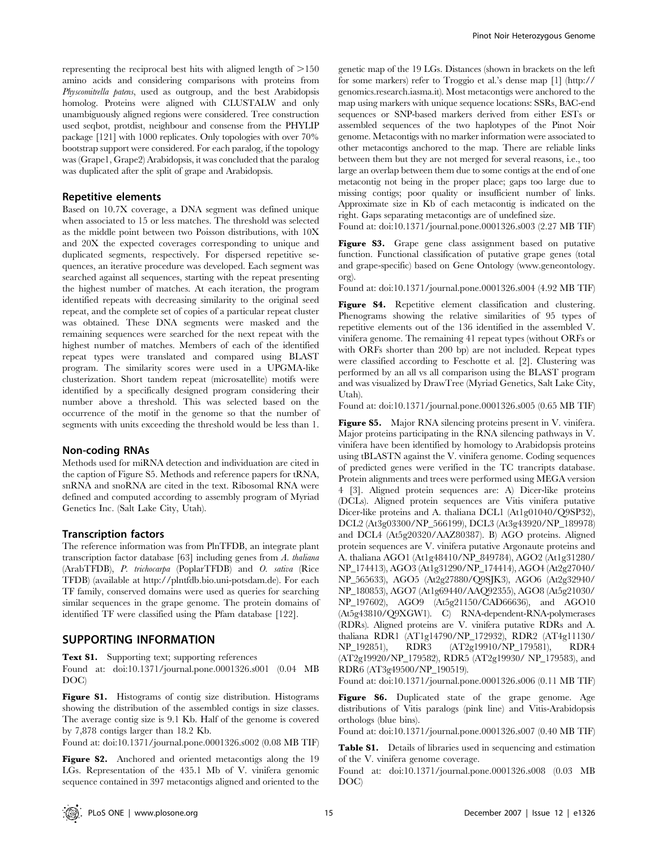representing the reciprocal best hits with aligned length of  $>150$ amino acids and considering comparisons with proteins from Physcomitrella patens, used as outgroup, and the best Arabidopsis homolog. Proteins were aligned with CLUSTALW and only unambiguously aligned regions were considered. Tree construction used seqbot, protdist, neighbour and consense from the PHYLIP package [121] with 1000 replicates. Only topologies with over 70% bootstrap support were considered. For each paralog, if the topology was (Grape1, Grape2) Arabidopsis, it was concluded that the paralog was duplicated after the split of grape and Arabidopsis.

# Repetitive elements

Based on 10.7X coverage, a DNA segment was defined unique when associated to 15 or less matches. The threshold was selected as the middle point between two Poisson distributions, with 10X and 20X the expected coverages corresponding to unique and duplicated segments, respectively. For dispersed repetitive sequences, an iterative procedure was developed. Each segment was searched against all sequences, starting with the repeat presenting the highest number of matches. At each iteration, the program identified repeats with decreasing similarity to the original seed repeat, and the complete set of copies of a particular repeat cluster was obtained. These DNA segments were masked and the remaining sequences were searched for the next repeat with the highest number of matches. Members of each of the identified repeat types were translated and compared using BLAST program. The similarity scores were used in a UPGMA-like clusterization. Short tandem repeat (microsatellite) motifs were identified by a specifically designed program considering their number above a threshold. This was selected based on the occurrence of the motif in the genome so that the number of segments with units exceeding the threshold would be less than 1.

# Non-coding RNAs

Methods used for miRNA detection and individuation are cited in the caption of Figure S5. Methods and reference papers for tRNA, snRNA and snoRNA are cited in the text. Ribosomal RNA were defined and computed according to assembly program of Myriad Genetics Inc. (Salt Lake City, Utah).

## Transcription factors

The reference information was from PlnTFDB, an integrate plant transcription factor database [63] including genes from A. thaliana (ArabTFDB), P. trichocarpa (PoplarTFDB) and O. sativa (Rice TFDB) (available at http://plntfdb.bio.uni-potsdam.de). For each TF family, conserved domains were used as queries for searching similar sequences in the grape genome. The protein domains of identified TF were classified using the Pfam database [122].

# SUPPORTING INFORMATION

Text S1. Supporting text; supporting references

Found at: doi:10.1371/journal.pone.0001326.s001 (0.04 MB DOC)

Figure S1. Histograms of contig size distribution. Histograms showing the distribution of the assembled contigs in size classes. The average contig size is 9.1 Kb. Half of the genome is covered by 7,878 contigs larger than 18.2 Kb.

Found at: doi:10.1371/journal.pone.0001326.s002 (0.08 MB TIF)

Figure S2. Anchored and oriented metacontigs along the 19 LGs. Representation of the 435.1 Mb of V. vinifera genomic sequence contained in 397 metacontigs aligned and oriented to the

genetic map of the 19 LGs. Distances (shown in brackets on the left for some markers) refer to Troggio et al.'s dense map [1] (http:// genomics.research.iasma.it). Most metacontigs were anchored to the map using markers with unique sequence locations: SSRs, BAC-end sequences or SNP-based markers derived from either ESTs or assembled sequences of the two haplotypes of the Pinot Noir genome. Metacontigs with no marker information were associated to other metacontigs anchored to the map. There are reliable links between them but they are not merged for several reasons, i.e., too large an overlap between them due to some contigs at the end of one metacontig not being in the proper place; gaps too large due to missing contigs; poor quality or insufficient number of links. Approximate size in Kb of each metacontig is indicated on the right. Gaps separating metacontigs are of undefined size.

Found at: doi:10.1371/journal.pone.0001326.s003 (2.27 MB TIF)

Figure S3. Grape gene class assignment based on putative function. Functional classification of putative grape genes (total and grape-specific) based on Gene Ontology (www.geneontology. org).

Found at: doi:10.1371/journal.pone.0001326.s004 (4.92 MB TIF)

Figure S4. Repetitive element classification and clustering. Phenograms showing the relative similarities of 95 types of repetitive elements out of the 136 identified in the assembled V. vinifera genome. The remaining 41 repeat types (without ORFs or with ORFs shorter than 200 bp) are not included. Repeat types were classified according to Feschotte et al. [2]. Clustering was performed by an all vs all comparison using the BLAST program and was visualized by DrawTree (Myriad Genetics, Salt Lake City, Utah).

Found at: doi:10.1371/journal.pone.0001326.s005 (0.65 MB TIF)

Figure S5. Major RNA silencing proteins present in V. vinifera. Major proteins participating in the RNA silencing pathways in V. vinifera have been identified by homology to Arabidopsis proteins using tBLASTN against the V. vinifera genome. Coding sequences of predicted genes were verified in the TC trancripts database. Protein alignments and trees were performed using MEGA version 4 [3]. Aligned protein sequences are: A) Dicer-like proteins (DCLs). Aligned protein sequences are Vitis vinifera putative Dicer-like proteins and A. thaliana DCL1 (At1g01040/Q9SP32), DCL2 (At3g03300/NP\_566199), DCL3 (At3g43920/NP\_189978) and DCL4 (At5g20320/AAZ80387). B) AGO proteins. Aligned protein sequences are V. vinifera putative Argonaute proteins and A. thaliana AGO1 (At1g48410/NP\_849784), AGO2 (At1g31280/ NP\_174413), AGO3 (At1g31290/NP\_174414), AGO4 (At2g27040/ NP\_565633), AGO5 (At2g27880/Q9SJK3), AGO6 (At2g32940/ NP\_180853), AGO7 (At1g69440/AAQ92355), AGO8 (At5g21030/ NP\_197602), AGO9 (At5g21150/CAD66636), and AGO10 (At5g43810/Q9XGW1). C) RNA-dependent-RNA-polymerases (RDRs). Aligned proteins are V. vinifera putative RDRs and A. thaliana RDR1 (AT1g14790/NP\_172932), RDR2 (AT4g11130/ NP\_192851), RDR3 (AT2g19910/NP\_179581), RDR4 (AT2g19920/NP\_179582), RDR5 (AT2g19930/ NP\_179583), and RDR6 (AT3g49500/NP\_190519).

Found at: doi:10.1371/journal.pone.0001326.s006 (0.11 MB TIF)

Figure S6. Duplicated state of the grape genome. Age distributions of Vitis paralogs (pink line) and Vitis-Arabidopsis orthologs (blue bins).

Found at: doi:10.1371/journal.pone.0001326.s007 (0.40 MB TIF)

Table S1. Details of libraries used in sequencing and estimation of the V. vinifera genome coverage.

Found at: doi:10.1371/journal.pone.0001326.s008 (0.03 MB DOC)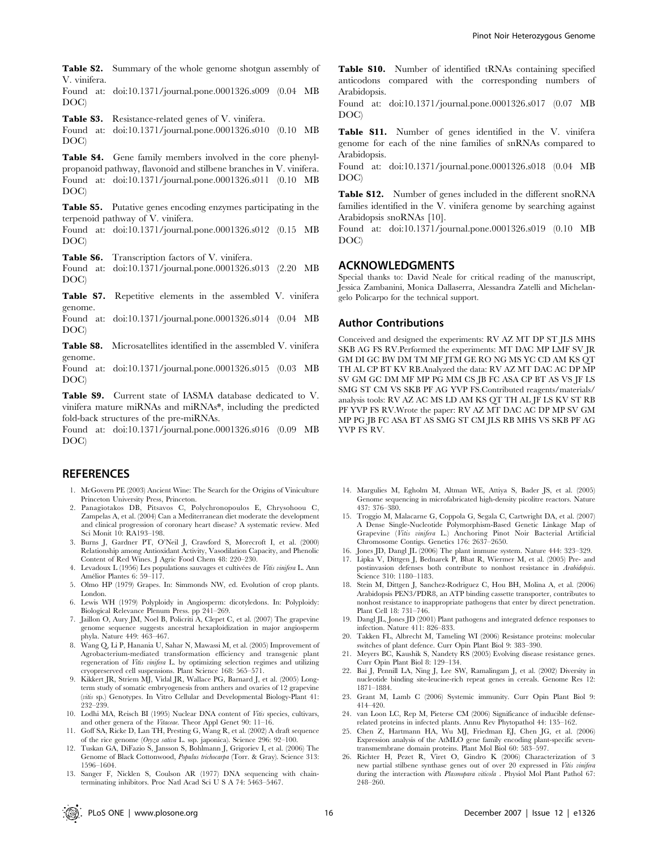Table S2. Summary of the whole genome shotgun assembly of V. vinifera.

Found at: doi:10.1371/journal.pone.0001326.s009 (0.04 MB DOC)

Table S3. Resistance-related genes of V. vinifera.

Found at: doi:10.1371/journal.pone.0001326.s010 (0.10 MB DOC)

Table S4. Gene family members involved in the core phenylpropanoid pathway, flavonoid and stilbene branches in V. vinifera. Found at: doi:10.1371/journal.pone.0001326.s011 (0.10 MB DOC)

Table S5. Putative genes encoding enzymes participating in the terpenoid pathway of V. vinifera.

Found at: doi:10.1371/journal.pone.0001326.s012 (0.15 MB DOC)

Table S6. Transcription factors of V. vinifera.

Found at: doi:10.1371/journal.pone.0001326.s013 (2.20 MB DOC)

Table S7. Repetitive elements in the assembled V. vinifera genome.

Found at: doi:10.1371/journal.pone.0001326.s014 (0.04 MB DOC)

Table S8. Microsatellites identified in the assembled V. vinifera genome.

Found at: doi:10.1371/journal.pone.0001326.s015 (0.03 MB DOC)

Table S9. Current state of IASMA database dedicated to V. vinifera mature miRNAs and miRNAs\*, including the predicted fold-back structures of the pre-miRNAs.

Found at: doi:10.1371/journal.pone.0001326.s016 (0.09 MB DOC)

# **REFERENCES**

- 1. McGovern PE (2003) Ancient Wine: The Search for the Origins of Viniculture Princeton University Press, Princeton.
- 2. Panagiotakos DB, Pitsavos C, Polychronopoulos E, Chrysohoou C, Zampelas A, et al. (2004) Can a Mediterranean diet moderate the development and clinical progression of coronary heart disease? A systematic review. Med Sci Monit 10: RA193–198.
- 3. Burns J, Gardner PT, O'Neil J, Crawford S, Morecroft I, et al. (2000) Relationship among Antioxidant Activity, Vasodilation Capacity, and Phenolic Content of Red Wines. J Agric Food Chem 48: 220–230.
- 4. Levadoux L (1956) Les populations sauvages et cultivées de Vitis vinifera L. Ann Amélior Plantes 6: 59-117.
- 5. Olmo HP (1979) Grapes. In: Simmonds NW, ed. Evolution of crop plants. London.
- 6. Lewis WH (1979) Polyploidy in Angiosperm: dicotyledons. In: Polyploidy: Biological Relevance Plenum Press. pp 241–269.
- 7. Jaillon O, Aury JM, Noel B, Policriti A, Clepet C, et al. (2007) The grapevine genome sequence suggests ancestral hexaploidization in major angiosperm phyla. Nature 449: 463–467.
- 8. Wang Q, Li P, Hanania U, Sahar N, Mawassi M, et al. (2005) Improvement of Agrobacterium-mediated transformation efficiency and transgenic plant regeneration of Vitis vinifera L. by optimizing selection regimes and utilizing cryopreserved cell suspensions. Plant Science 168: 565–571.
- 9. Kikkert JR, Striem MJ, Vidal JR, Wallace PG, Barnard J, et al. (2005) Longterm study of somatic embryogenesis from anthers and ovaries of 12 grapevine (vitis sp.) Genotypes. In Vitro Cellular and Developmental Biology-Plant 41:  $232 - 239.$
- 10. Lodhi MA, Reisch BI (1995) Nuclear DNA content of Vitis species, cultivars, and other genera of the Vitaceae. Theor Appl Genet 90: 11–16.
- 11. Goff SA, Ricke D, Lan TH, Presting G, Wang R, et al. (2002) A draft sequence of the rice genome (Oryza sativa L. ssp. japonica). Science 296: 92–100.
- 12. Tuskan GA, DiFazio S, Jansson S, Bohlmann J, Grigoriev I, et al. (2006) The Genome of Black Cottonwood, Populus trichocarpa (Torr. & Gray). Science 313: 1596–1604.
- 13. Sanger F, Nicklen S, Coulson AR (1977) DNA sequencing with chainterminating inhibitors. Proc Natl Acad Sci U S A 74: 5463–5467.

Table S10. Number of identified tRNAs containing specified anticodons compared with the corresponding numbers of Arabidopsis.

Found at: doi:10.1371/journal.pone.0001326.s017 (0.07 MB DOC)

Table S11. Number of genes identified in the V. vinifera genome for each of the nine families of snRNAs compared to Arabidopsis.

Found at: doi:10.1371/journal.pone.0001326.s018 (0.04 MB DOC)

Table S12. Number of genes included in the different snoRNA families identified in the V. vinifera genome by searching against Arabidopsis snoRNAs [10].

Found at: doi:10.1371/journal.pone.0001326.s019 (0.10 MB DOC)

## ACKNOWLEDGMENTS

Special thanks to: David Neale for critical reading of the manuscript, Jessica Zambanini, Monica Dallaserra, Alessandra Zatelli and Michelangelo Policarpo for the technical support.

## Author Contributions

Conceived and designed the experiments: RV AZ MT DP ST JLS MHS SKB AG FS RV.Performed the experiments: MT DAC MP LMF SV JR GM DI GC BW DM TM MF JTM GE RO NG MS YC CD AM KS OT TH AL CP BT KV RB.Analyzed the data: RV AZ MT DAC AC DP MP SV GM GC DM MF MP PG MM CS JB FC ASA CP BT AS VS JF LS SMG ST CM VS SKB PF AG YVP FS.Contributed reagents/materials/ analysis tools: RV AZ AC MS LD AM KS QT TH AL JF LS KV ST RB PF YVP FS RV.Wrote the paper: RV AZ MT DAC AC DP MP SV GM MP PG JB FC ASA BT AS SMG ST CM JLS RB MHS VS SKB PF AG YVP FS RV.

- 14. Margulies M, Egholm M, Altman WE, Attiya S, Bader JS, et al. (2005) Genome sequencing in microfabricated high-density picolitre reactors. Nature 437: 376–380.
- 15. Troggio M, Malacarne G, Coppola G, Segala C, Cartwright DA, et al. (2007) A Dense Single-Nucleotide Polymorphism-Based Genetic Linkage Map of Grapevine (Vitis vinifera L.) Anchoring Pinot Noir Bacterial Artificial Chromosome Contigs. Genetics 176: 2637–2650.
- 16. Jones JD, Dangl JL (2006) The plant immune system. Nature 444: 323–329.
- 17. Lipka V, Dittgen J, Bednarek P, Bhat R, Wiermer M, et al. (2005) Pre- and postinvasion defenses both contribute to nonhost resistance in Arabidopsis. Science 310: 1180–1183.
- 18. Stein M, Dittgen J, Sanchez-Rodriguez C, Hou BH, Molina A, et al. (2006) Arabidopsis PEN3/PDR8, an ATP binding cassette transporter, contributes to nonhost resistance to inappropriate pathogens that enter by direct penetration. Plant Cell 18: 731–746.
- 19. Dangl JL, Jones JD (2001) Plant pathogens and integrated defence responses to infection. Nature 411: 826–833.
- 20. Takken FL, Albrecht M, Tameling WI (2006) Resistance proteins: molecular switches of plant defence. Curr Opin Plant Biol 9: 383–390.
- 21. Meyers BC, Kaushik S, Nandety RS (2005) Evolving disease resistance genes. Curr Opin Plant Biol 8: 129–134.
- 22. Bai J, Pennill LA, Ning J, Lee SW, Ramalingam J, et al. (2002) Diversity in nucleotide binding site-leucine-rich repeat genes in cereals. Genome Res 12: 1871–1884.
- 23. Grant M, Lamb C (2006) Systemic immunity. Curr Opin Plant Biol 9: 414–420.
- 24. van Loon LC, Rep M, Pieterse CM (2006) Significance of inducible defenserelated proteins in infected plants. Annu Rev Phytopathol 44: 135–162.
- 25. Chen Z, Hartmann HA, Wu MJ, Friedman EJ, Chen JG, et al. (2006) Expression analysis of the AtMLO gene family encoding plant-specific seventransmembrane domain proteins. Plant Mol Biol 60: 583–597.
- 26. Richter H, Pezet R, Viret O, Gindro K (2006) Characterization of 3 new partial stilbene synthase genes out of over 20 expressed in Vitis vinifera during the interaction with Plasmopara viticola . Physiol Mol Plant Pathol 67: 248–260.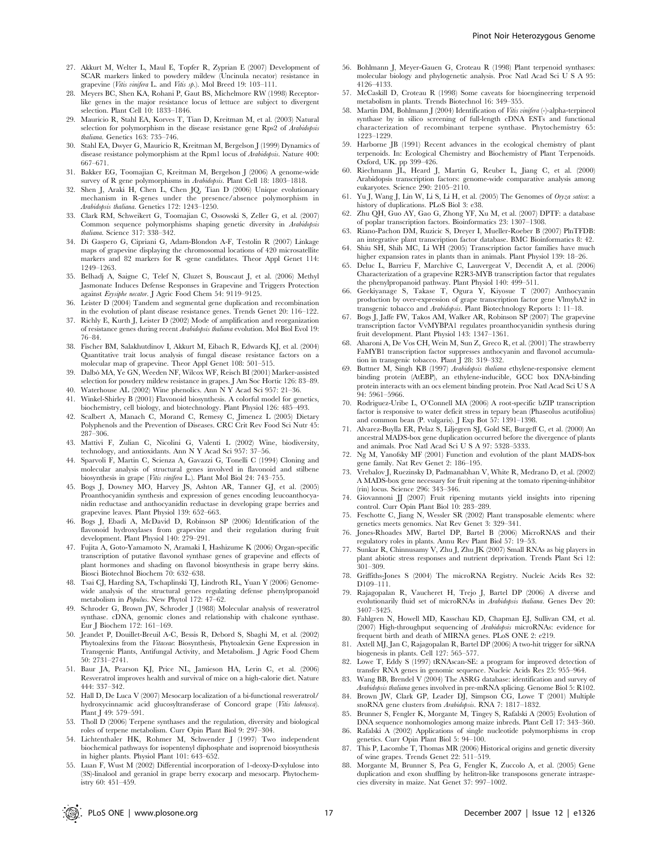- 27. Akkurt M, Welter L, Maul E, Topfer R, Zyprian E (2007) Development of SCAR markers linked to powdery mildew (Uncinula necator) resistance in grapevine (Vitis vinifera L. and Vitis sp.). Mol Breed 19: 103-111
- 28. Meyers BC, Shen KA, Rohani P, Gaut BS, Michelmore RW (1998) Receptorlike genes in the major resistance locus of lettuce are subject to divergent selection. Plant Cell 10: 1833–1846.
- 29. Mauricio R, Stahl EA, Korves T, Tian D, Kreitman M, et al. (2003) Natural selection for polymorphism in the disease resistance gene Rps2 of Arabidopsis thaliana. Genetics 163: 735–746.
- 30. Stahl EA, Dwyer G, Mauricio R, Kreitman M, Bergelson J (1999) Dynamics of disease resistance polymorphism at the Rpm1 locus of Arabidopsis. Nature 400: 667–671.
- 31. Bakker EG, Toomajian C, Kreitman M, Bergelson J (2006) A genome-wide survey of R gene polymorphisms in Arabidopsis. Plant Cell 18: 1803-1818.
- 32. Shen J, Araki H, Chen L, Chen JQ, Tian D (2006) Unique evolutionary mechanism in R-genes under the presence/absence polymorphism in Arabidopsis thaliana. Genetics 172: 1243–1250.
- 33. Clark RM, Schweikert G, Toomajian C, Ossowski S, Zeller G, et al. (2007) Common sequence polymorphisms shaping genetic diversity in Arabidopsis thaliana. Science 317: 338–342.
- 34. Di Gaspero G, Cipriani G, Adam-Blondon A-F, Testolin R (2007) Linkage maps of grapevine displaying the chromosomal locations of 420 microsatellite markers and 82 markers for R -gene candidates. Theor Appl Genet 114: 1249–1263.
- 35. Belhadj A, Saigne C, Telef N, Cluzet S, Bouscaut J, et al. (2006) Methyl Jasmonate Induces Defense Responses in Grapevine and Triggers Protection against Erysiphe necator. J Agric Food Chem 54: 9119–9125.
- 36. Leister D (2004) Tandem and segmental gene duplication and recombination in the evolution of plant disease resistance genes. Trends Genet 20: 116–122.
- 37. Richly E, Kurth J, Leister D (2002) Mode of amplification and reorganization of resistance genes during recent Arabidopsis thaliana evolution. Mol Biol Evol 19: 76–84.
- 38. Fischer BM, Salakhutdinov I, Akkurt M, Eibach R, Edwards KJ, et al. (2004) Quantitative trait locus analysis of fungal disease resistance factors on a molecular map of grapevine. Theor Appl Genet 108: 501–515.
- 39. Dalbó MA, Ye GN, Weeden NF, Wilcox WF, Reisch BI (2001) Marker-assisted selection for powdery mildew resistance in grapes. J Am Soc Hortic 126: 83–89.
- 40. Waterhouse AL (2002) Wine phenolics. Ann N Y Acad Sci 957: 21–36.
- 41. Winkel-Shirley B (2001) Flavonoid biosynthesis. A colorful model for genetics, biochemistry, cell biology, and biotechnology. Plant Physiol 126: 485–493.
- 42. Scalbert A, Manach C, Morand C, Remesy C, Jimenez L (2005) Dietary Polyphenols and the Prevention of Diseases. CRC Crit Rev Food Sci Nutr 45: 287–306.
- 43. Mattivi F, Zulian C, Nicolini G, Valenti L (2002) Wine, biodiversity, technology, and antioxidants. Ann N Y Acad Sci 957: 37–56.
- 44. Sparvoli F, Martin C, Scienza A, Gavazzi G, Tonelli C (1994) Cloning and molecular analysis of structural genes involved in flavonoid and stilbene biosynthesis in grape (Vitis vinifera L.). Plant Mol Biol 24: 743–755.
- 45. Bogs J, Downey MO, Harvey JS, Ashton AR, Tanner GJ, et al. (2005) Proanthocyanidin synthesis and expression of genes encoding leucoanthocyanidin reductase and anthocyanidin reductase in developing grape berries and grapevine leaves. Plant Physiol 139: 652–663.
- 46. Bogs J, Ebadi A, McDavid D, Robinson SP (2006) Identification of the flavonoid hydroxylases from grapevine and their regulation during fruit development. Plant Physiol 140: 279–291.
- 47. Fujita A, Goto-Yamamoto N, Aramaki I, Hashizume K (2006) Organ-specific transcription of putative flavonol synthase genes of grapevine and effects of plant hormones and shading on flavonol biosynthesis in grape berry skins. Biosci Biotechnol Biochem 70: 632–638.
- 48. Tsai CJ, Harding SA, Tschaplinski TJ, Lindroth RL, Yuan Y (2006) Genomewide analysis of the structural genes regulating defense phenylpropanoid metabolism in Populus. New Phytol 172: 47–62.
- 49. Schroder G, Brown JW, Schroder J (1988) Molecular analysis of resveratrol synthase. cDNA, genomic clones and relationship with chalcone synthase. Eur J Biochem 172: 161–169.
- 50. Jeandet P, Douillet-Breuil A-C, Bessis R, Debord S, Sbaghi M, et al. (2002) Phytoalexins from the Vitaceae: Biosynthesis, Phytoalexin Gene Expression in Transgenic Plants, Antifungal Activity, and Metabolism. J Agric Food Chem 50: 2731–2741.
- 51. Baur JA, Pearson KJ, Price NL, Jamieson HA, Lerin C, et al. (2006) Resveratrol improves health and survival of mice on a high-calorie diet. Nature 444: 337–342.
- 52. Hall D, De Luca V (2007) Mesocarp localization of a bi-functional resveratrol/ hydroxycinnamic acid glucosyltransferase of Concord grape (Vitis labrusca). Plant J 49: 579-591.
- 53. Tholl D (2006) Terpene synthases and the regulation, diversity and biological roles of terpene metabolism. Curr Opin Plant Biol 9: 297–304.
- 54. Lichtenthaler HK, Rohmer M, Schwender J (1997) Two independent biochemical pathways for isopentenyl diphosphate and isoprenoid biosynthesis in higher plants. Physiol Plant 101: 643–652.
- 55. Luan F, Wust M (2002) Differential incorporation of 1-deoxy-D-xylulose into (3S)-linalool and geraniol in grape berry exocarp and mesocarp. Phytochemistry 60: 451–459.
- 56. Bohlmann J, Meyer-Gauen G, Croteau R (1998) Plant terpenoid synthases: molecular biology and phylogenetic analysis. Proc Natl Acad Sci U S A 95: 4126–4133.
- 57. McCaskill D, Croteau R (1998) Some caveats for bioengineering terpenoid metabolism in plants. Trends Biotechnol 16: 349–355.
- 58. Martin DM, Bohlmann J (2004) Identification of Vitis vinifera (-)-alpha-terpineol synthase by in silico screening of full-length cDNA ESTs and functional characterization of recombinant terpene synthase. Phytochemistry 65: 1223–1229.
- 59. Harborne JB (1991) Recent advances in the ecological chemistry of plant terpenoids. In: Ecological Chemistry and Biochemistry of Plant Terpenoids. Oxford, UK. pp 399–426.
- 60. Riechmann JL, Heard J, Martin G, Reuber L, Jiang C, et al. (2000) Arabidopsis transcription factors: genome-wide comparative analysis among eukaryotes. Science 290: 2105–2110.
- 61. Yu J, Wang J, Lin W, Li S, Li H, et al. (2005) The Genomes of Oryza sativa: a history of duplications. PLoS Biol 3: e38.
- 62. Zhu QH, Guo AY, Gao G, Zhong YF, Xu M, et al. (2007) DPTF: a database of poplar transcription factors. Bioinformatics 23: 1307–1308.
- 63. Riano-Pachon DM, Ruzicic S, Dreyer I, Mueller-Roeber B (2007) PlnTFDB: an integrative plant transcription factor database. BMC Bioinformatics 8: 42.
- 64. Shiu SH, Shih MC, Li WH (2005) Transcription factor families have much higher expansion rates in plants than in animals. Plant Physiol 139: 18–26.
- 65. Deluc L, Barrieu F, Marchive C, Lauvergeat V, Decendit A, et al. (2006) Characterization of a grapevine R2R3-MYB transcription factor that regulates the phenylpropanoid pathway. Plant Physiol 140: 499–511.
- 66. Geekiyanage S, Takase T, Ogura Y, Kiyosue T (2007) Anthocyanin production by over-expression of grape transcription factor gene VlmybA2 in transgenic tobacco and Arabidopsis. Plant Biotechnology Reports 1: 11-18.
- 67. Bogs J, Jaffe FW, Takos AM, Walker AR, Robinson SP (2007) The grapevine transcription factor VvMYBPA1 regulates proanthocyanidin synthesis during fruit development. Plant Physiol 143: 1347–1361.
- 68. Aharoni A, De Vos CH, Wein M, Sun Z, Greco R, et al. (2001) The strawberry FaMYB1 transcription factor suppresses anthocyanin and flavonol accumulation in transgenic tobacco. Plant I 28: 319-332.
- 69. Buttner M, Singh KB (1997) Arabidopsis thaliana ethylene-responsive element binding protein (AtEBP), an ethylene-inducible, GCC box DNA-binding protein interacts with an ocs element binding protein. Proc Natl Acad Sci U S A 94: 5961–5966.
- 70. Rodriguez-Uribe L, O'Connell MA (2006) A root-specific bZIP transcription factor is responsive to water deficit stress in tepary bean (Phaseolus acutifolius) and common bean (P. vulgaris). J Exp Bot 57: 1391–1398.
- 71. Alvarez-Buylla ER, Pelaz S, Liljegren SJ, Gold SE, Burgeff C, et al. (2000) An ancestral MADS-box gene duplication occurred before the divergence of plants and animals. Proc Natl Acad Sci U S A 97: 5328–5333.
- 72. Ng M, Yanofsky MF (2001) Function and evolution of the plant MADS-box gene family. Nat Rev Genet 2: 186–195.
- 73. Vrebalov J, Ruezinsky D, Padmanabhan V, White R, Medrano D, et al. (2002) A MADS-box gene necessary for fruit ripening at the tomato ripening-inhibitor (rin) locus. Science 296: 343–346.
- 74. Giovannoni JJ (2007) Fruit ripening mutants yield insights into ripening control. Curr Opin Plant Biol 10: 283–289.
- 75. Feschotte C, Jiang N, Wessler SR (2002) Plant transposable elements: where genetics meets genomics. Nat Rev Genet 3: 329–341.
- 76. Jones-Rhoades MW, Bartel DP, Bartel B (2006) MicroRNAS and their regulatory roles in plants. Annu Rev Plant Biol 57: 19–53.
- 77. Sunkar R, Chinnusamy V, Zhu J, Zhu JK (2007) Small RNAs as big players in plant abiotic stress responses and nutrient deprivation. Trends Plant Sci 12: 301–309.
- 78. Griffiths-Jones S (2004) The microRNA Registry. Nucleic Acids Res 32: D109–111.
- 79. Rajagopalan R, Vaucheret H, Trejo J, Bartel DP (2006) A diverse and evolutionarily fluid set of microRNAs in Arabidopsis thaliana. Genes Dev 20: 3407–3425.
- 80. Fahlgren N, Howell MD, Kasschau KD, Chapman EJ, Sullivan CM, et al. (2007) High-throughput sequencing of Arabidopsis microRNAs: evidence for frequent birth and death of MIRNA genes. PLoS ONE 2: e219.
- 81. Axtell MJ, Jan C, Rajagopalan R, Bartel DP (2006) A two-hit trigger for siRNA biogenesis in plants. Cell 127: 565–577.
- Lowe T, Eddy S (1997) tRNAscan-SE: a program for improved detection of transfer RNA genes in genomic sequence. Nucleic Acids Res 25: 955–964.
- 83. Wang BB, Brendel V (2004) The ASRG database: identification and survey of Arabidopsis thaliana genes involved in pre-mRNA splicing. Genome Biol 5: R102.
- 84. Brown JW, Clark GP, Leader DJ, Simpson CG, Lowe T (2001) Multiple snoRNA gene clusters from Arabidopsis. RNA 7: 1817-1832.
- 85. Brunner S, Fengler K, Morgante M, Tingey S, Rafalski A (2005) Evolution of DNA sequence nonhomologies among maize inbreds. Plant Cell 17: 343–360.
- 86. Rafalski A (2002) Applications of single nucleotide polymorphisms in crop genetics. Curr Opin Plant Biol 5: 94–100.
- 87. This P, Lacombe T, Thomas MR (2006) Historical origins and genetic diversity of wine grapes. Trends Genet 22: 511–519.
- 88. Morgante M, Brunner S, Pea G, Fengler K, Zuccolo A, et al. (2005) Gene duplication and exon shuffling by helitron-like transposons generate intraspecies diversity in maize. Nat Genet 37: 997–1002.